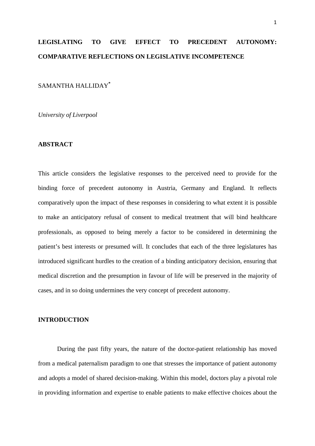# **LEGISLATING TO GIVE EFFECT TO PRECEDENT AUTONOMY: COMPARATIVE REFLECTIONS ON LEGISLATIVE INCOMPETENCE**

SAMANTHA HALLIDAY**\***

*University of Liverpool* 

#### **ABSTRACT**

This article considers the legislative responses to the perceived need to provide for the binding force of precedent autonomy in Austria, Germany and England. It reflects comparatively upon the impact of these responses in considering to what extent it is possible to make an anticipatory refusal of consent to medical treatment that will bind healthcare professionals, as opposed to being merely a factor to be considered in determining the patient's best interests or presumed will. It concludes that each of the three legislatures has introduced significant hurdles to the creation of a binding anticipatory decision, ensuring that medical discretion and the presumption in favour of life will be preserved in the majority of cases, and in so doing undermines the very concept of precedent autonomy.

#### **INTRODUCTION**

During the past fifty years, the nature of the doctor-patient relationship has moved from a medical paternalism paradigm to one that stresses the importance of patient autonomy and adopts a model of shared decision-making. Within this model, doctors play a pivotal role in providing information and expertise to enable patients to make effective choices about the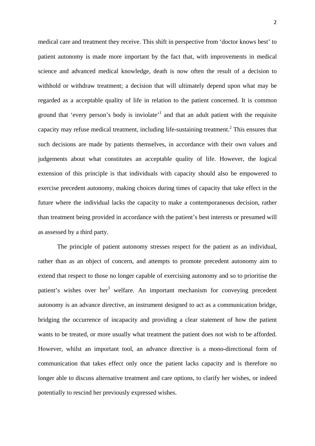medical care and treatment they receive. This shift in perspective from 'doctor knows best' to patient autonomy is made more important by the fact that, with improvements in medical science and advanced medical knowledge, death is now often the result of a decision to withhold or withdraw treatment; a decision that will ultimately depend upon what may be regarded as a acceptable quality of life in relation to the patient concerned. It is common ground that 'every person's body is inviolate'<sup>1</sup> and that an adult patient with the requisite capacity may refuse medical treatment, including life-sustaining treatment.<sup>2</sup> This ensures that such decisions are made by patients themselves, in accordance with their own values and judgements about what constitutes an acceptable quality of life. However, the logical extension of this principle is that individuals with capacity should also be empowered to exercise precedent autonomy, making choices during times of capacity that take effect in the future where the individual lacks the capacity to make a contemporaneous decision, rather than treatment being provided in accordance with the patient's best interests or presumed will as assessed by a third party.

The principle of patient autonomy stresses respect for the patient as an individual, rather than as an object of concern, and attempts to promote precedent autonomy aim to extend that respect to those no longer capable of exercising autonomy and so to prioritise the patient's wishes over her<sup>3</sup> welfare. An important mechanism for conveying precedent autonomy is an advance directive, an instrument designed to act as a communication bridge, bridging the occurrence of incapacity and providing a clear statement of how the patient wants to be treated, or more usually what treatment the patient does not wish to be afforded. However, whilst an important tool, an advance directive is a mono-directional form of communication that takes effect only once the patient lacks capacity and is therefore no longer able to discuss alternative treatment and care options, to clarify her wishes, or indeed potentially to rescind her previously expressed wishes.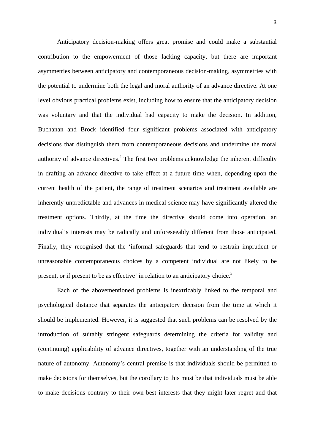Anticipatory decision-making offers great promise and could make a substantial contribution to the empowerment of those lacking capacity, but there are important asymmetries between anticipatory and contemporaneous decision-making, asymmetries with the potential to undermine both the legal and moral authority of an advance directive. At one level obvious practical problems exist, including how to ensure that the anticipatory decision was voluntary and that the individual had capacity to make the decision. In addition, Buchanan and Brock identified four significant problems associated with anticipatory decisions that distinguish them from contemporaneous decisions and undermine the moral authority of advance directives. $4$  The first two problems acknowledge the inherent difficulty in drafting an advance directive to take effect at a future time when, depending upon the current health of the patient, the range of treatment scenarios and treatment available are inherently unpredictable and advances in medical science may have significantly altered the treatment options. Thirdly, at the time the directive should come into operation, an individual's interests may be radically and unforeseeably different from those anticipated. Finally, they recognised that the 'informal safeguards that tend to restrain imprudent or unreasonable contemporaneous choices by a competent individual are not likely to be present, or if present to be as effective' in relation to an anticipatory choice.<sup>5</sup>

Each of the abovementioned problems is inextricably linked to the temporal and psychological distance that separates the anticipatory decision from the time at which it should be implemented. However, it is suggested that such problems can be resolved by the introduction of suitably stringent safeguards determining the criteria for validity and (continuing) applicability of advance directives, together with an understanding of the true nature of autonomy. Autonomy's central premise is that individuals should be permitted to make decisions for themselves, but the corollary to this must be that individuals must be able to make decisions contrary to their own best interests that they might later regret and that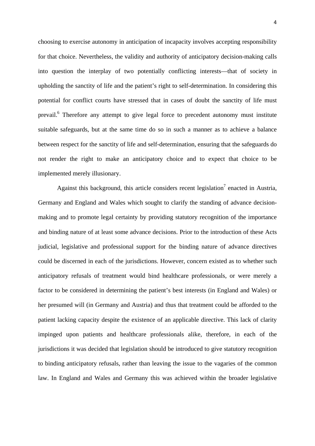choosing to exercise autonomy in anticipation of incapacity involves accepting responsibility for that choice. Nevertheless, the validity and authority of anticipatory decision-making calls into question the interplay of two potentially conflicting interests—that of society in upholding the sanctity of life and the patient's right to self-determination. In considering this potential for conflict courts have stressed that in cases of doubt the sanctity of life must prevail.<sup>6</sup> Therefore any attempt to give legal force to precedent autonomy must institute suitable safeguards, but at the same time do so in such a manner as to achieve a balance between respect for the sanctity of life and self-determination, ensuring that the safeguards do not render the right to make an anticipatory choice and to expect that choice to be implemented merely illusionary.

Against this background, this article considers recent legislation<sup>7</sup> enacted in Austria, Germany and England and Wales which sought to clarify the standing of advance decisionmaking and to promote legal certainty by providing statutory recognition of the importance and binding nature of at least some advance decisions. Prior to the introduction of these Acts judicial, legislative and professional support for the binding nature of advance directives could be discerned in each of the jurisdictions. However, concern existed as to whether such anticipatory refusals of treatment would bind healthcare professionals, or were merely a factor to be considered in determining the patient's best interests (in England and Wales) or her presumed will (in Germany and Austria) and thus that treatment could be afforded to the patient lacking capacity despite the existence of an applicable directive. This lack of clarity impinged upon patients and healthcare professionals alike, therefore, in each of the jurisdictions it was decided that legislation should be introduced to give statutory recognition to binding anticipatory refusals, rather than leaving the issue to the vagaries of the common law. In England and Wales and Germany this was achieved within the broader legislative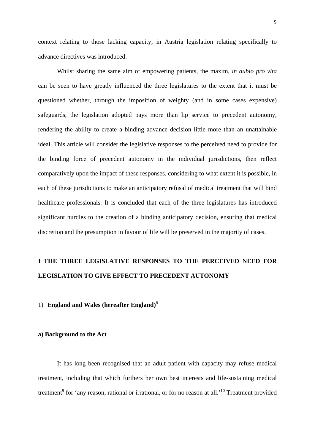context relating to those lacking capacity; in Austria legislation relating specifically to advance directives was introduced.

Whilst sharing the same aim of empowering patients, the maxim, *in dubio pro vita*  can be seen to have greatly influenced the three legislatures to the extent that it must be questioned whether, through the imposition of weighty (and in some cases expensive) safeguards, the legislation adopted pays more than lip service to precedent autonomy, rendering the ability to create a binding advance decision little more than an unattainable ideal. This article will consider the legislative responses to the perceived need to provide for the binding force of precedent autonomy in the individual jurisdictions, then reflect comparatively upon the impact of these responses, considering to what extent it is possible, in each of these jurisdictions to make an anticipatory refusal of medical treatment that will bind healthcare professionals. It is concluded that each of the three legislatures has introduced significant hurdles to the creation of a binding anticipatory decision, ensuring that medical discretion and the presumption in favour of life will be preserved in the majority of cases.

# **I THE THREE LEGISLATIVE RESPONSES TO THE PERCEIVED NEED FOR LEGISLATION TO GIVE EFFECT TO PRECEDENT AUTONOMY**

# 1) **England and Wales (hereafter England)**<sup>8</sup>

#### **a) Background to the Act**

It has long been recognised that an adult patient with capacity may refuse medical treatment, including that which furthers her own best interests and life-sustaining medical treatment<sup>9</sup> for 'any reason, rational or irrational, or for no reason at all.<sup>'10</sup> Treatment provided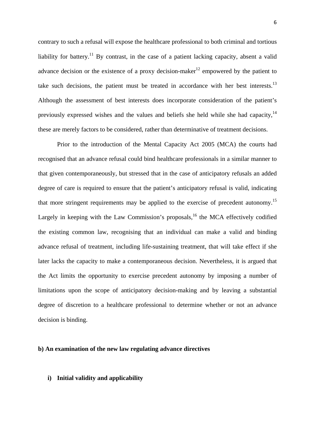contrary to such a refusal will expose the healthcare professional to both criminal and tortious liability for battery.<sup>11</sup> By contrast, in the case of a patient lacking capacity, absent a valid advance decision or the existence of a proxy decision-maker<sup>12</sup> empowered by the patient to take such decisions, the patient must be treated in accordance with her best interests. $^{13}$ Although the assessment of best interests does incorporate consideration of the patient's previously expressed wishes and the values and beliefs she held while she had capacity,  $14$ these are merely factors to be considered, rather than determinative of treatment decisions.

Prior to the introduction of the Mental Capacity Act 2005 (MCA) the courts had recognised that an advance refusal could bind healthcare professionals in a similar manner to that given contemporaneously, but stressed that in the case of anticipatory refusals an added degree of care is required to ensure that the patient's anticipatory refusal is valid, indicating that more stringent requirements may be applied to the exercise of precedent autonomy.<sup>15</sup> Largely in keeping with the Law Commission's proposals, $16$  the MCA effectively codified the existing common law, recognising that an individual can make a valid and binding advance refusal of treatment, including life-sustaining treatment, that will take effect if she later lacks the capacity to make a contemporaneous decision. Nevertheless, it is argued that the Act limits the opportunity to exercise precedent autonomy by imposing a number of limitations upon the scope of anticipatory decision-making and by leaving a substantial degree of discretion to a healthcare professional to determine whether or not an advance decision is binding.

#### **b) An examination of the new law regulating advance directives**

**i) Initial validity and applicability**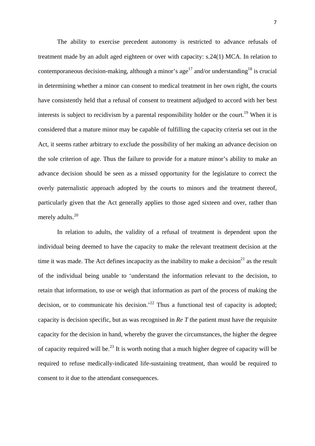The ability to exercise precedent autonomy is restricted to advance refusals of treatment made by an adult aged eighteen or over with capacity: s.24(1) MCA. In relation to contemporaneous decision-making, although a minor's age<sup>17</sup> and/or understanding<sup>18</sup> is crucial in determining whether a minor can consent to medical treatment in her own right, the courts have consistently held that a refusal of consent to treatment adjudged to accord with her best interests is subject to recidivism by a parental responsibility holder or the court.<sup>19</sup> When it is considered that a mature minor may be capable of fulfilling the capacity criteria set out in the Act, it seems rather arbitrary to exclude the possibility of her making an advance decision on the sole criterion of age. Thus the failure to provide for a mature minor's ability to make an advance decision should be seen as a missed opportunity for the legislature to correct the overly paternalistic approach adopted by the courts to minors and the treatment thereof, particularly given that the Act generally applies to those aged sixteen and over, rather than merely adults.<sup>20</sup>

In relation to adults, the validity of a refusal of treatment is dependent upon the individual being deemed to have the capacity to make the relevant treatment decision at the time it was made. The Act defines incapacity as the inability to make a decision<sup>21</sup> as the result of the individual being unable to 'understand the information relevant to the decision, to retain that information, to use or weigh that information as part of the process of making the decision, or to communicate his decision.<sup> $22$ </sup> Thus a functional test of capacity is adopted; capacity is decision specific, but as was recognised in *Re T* the patient must have the requisite capacity for the decision in hand, whereby the graver the circumstances, the higher the degree of capacity required will be.<sup>23</sup> It is worth noting that a much higher degree of capacity will be required to refuse medically-indicated life-sustaining treatment, than would be required to consent to it due to the attendant consequences.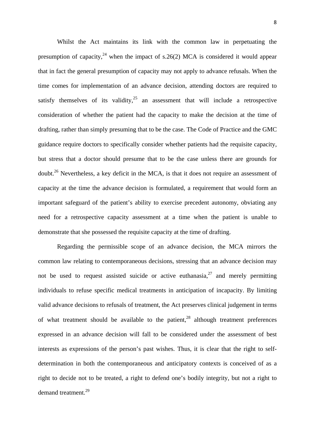Whilst the Act maintains its link with the common law in perpetuating the presumption of capacity,  $24$  when the impact of s.26(2) MCA is considered it would appear that in fact the general presumption of capacity may not apply to advance refusals. When the time comes for implementation of an advance decision, attending doctors are required to satisfy themselves of its validity,  $25$  an assessment that will include a retrospective consideration of whether the patient had the capacity to make the decision at the time of drafting, rather than simply presuming that to be the case. The Code of Practice and the GMC guidance require doctors to specifically consider whether patients had the requisite capacity, but stress that a doctor should presume that to be the case unless there are grounds for doubt.26 Nevertheless, a key deficit in the MCA, is that it does not require an assessment of capacity at the time the advance decision is formulated, a requirement that would form an important safeguard of the patient's ability to exercise precedent autonomy, obviating any need for a retrospective capacity assessment at a time when the patient is unable to demonstrate that she possessed the requisite capacity at the time of drafting.

Regarding the permissible scope of an advance decision, the MCA mirrors the common law relating to contemporaneous decisions, stressing that an advance decision may not be used to request assisted suicide or active euthanasia,  $2^7$  and merely permitting individuals to refuse specific medical treatments in anticipation of incapacity. By limiting valid advance decisions to refusals of treatment, the Act preserves clinical judgement in terms of what treatment should be available to the patient,  $28$  although treatment preferences expressed in an advance decision will fall to be considered under the assessment of best interests as expressions of the person's past wishes. Thus, it is clear that the right to selfdetermination in both the contemporaneous and anticipatory contexts is conceived of as a right to decide not to be treated, a right to defend one's bodily integrity, but not a right to demand treatment.29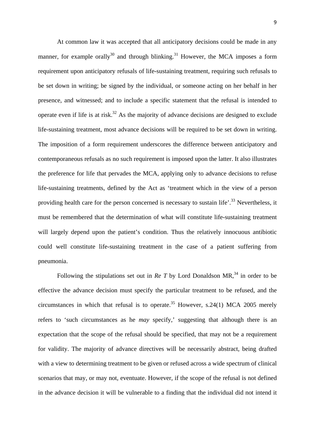At common law it was accepted that all anticipatory decisions could be made in any manner, for example orally<sup>30</sup> and through blinking.<sup>31</sup> However, the MCA imposes a form requirement upon anticipatory refusals of life-sustaining treatment, requiring such refusals to be set down in writing; be signed by the individual, or someone acting on her behalf in her presence, and witnessed; and to include a specific statement that the refusal is intended to operate even if life is at risk.<sup>32</sup> As the majority of advance decisions are designed to exclude life-sustaining treatment, most advance decisions will be required to be set down in writing. The imposition of a form requirement underscores the difference between anticipatory and contemporaneous refusals as no such requirement is imposed upon the latter. It also illustrates the preference for life that pervades the MCA, applying only to advance decisions to refuse life-sustaining treatments, defined by the Act as 'treatment which in the view of a person providing health care for the person concerned is necessary to sustain life'.<sup>33</sup> Nevertheless, it must be remembered that the determination of what will constitute life-sustaining treatment will largely depend upon the patient's condition. Thus the relatively innocuous antibiotic could well constitute life-sustaining treatment in the case of a patient suffering from pneumonia.

Following the stipulations set out in *Re T* by Lord Donaldson  $MR<sup>34</sup>$  in order to be effective the advance decision must specify the particular treatment to be refused, and the circumstances in which that refusal is to operate.<sup>35</sup> However, s.24(1) MCA 2005 merely refers to 'such circumstances as he *may* specify,' suggesting that although there is an expectation that the scope of the refusal should be specified, that may not be a requirement for validity. The majority of advance directives will be necessarily abstract, being drafted with a view to determining treatment to be given or refused across a wide spectrum of clinical scenarios that may, or may not, eventuate. However, if the scope of the refusal is not defined in the advance decision it will be vulnerable to a finding that the individual did not intend it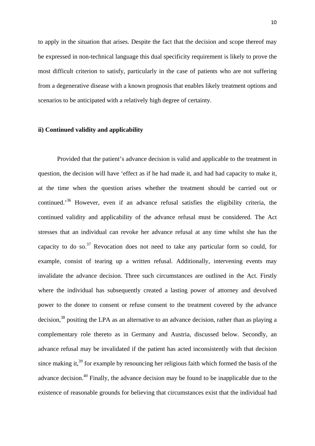to apply in the situation that arises. Despite the fact that the decision and scope thereof may be expressed in non-technical language this dual specificity requirement is likely to prove the most difficult criterion to satisfy, particularly in the case of patients who are not suffering from a degenerative disease with a known prognosis that enables likely treatment options and scenarios to be anticipated with a relatively high degree of certainty.

#### **ii) Continued validity and applicability**

Provided that the patient's advance decision is valid and applicable to the treatment in question, the decision will have 'effect as if he had made it, and had had capacity to make it, at the time when the question arises whether the treatment should be carried out or continued.'36 However, even if an advance refusal satisfies the eligibility criteria, the continued validity and applicability of the advance refusal must be considered. The Act stresses that an individual can revoke her advance refusal at any time whilst she has the capacity to do so.<sup>37</sup> Revocation does not need to take any particular form so could, for example, consist of tearing up a written refusal. Additionally, intervening events may invalidate the advance decision. Three such circumstances are outlined in the Act. Firstly where the individual has subsequently created a lasting power of attorney and devolved power to the donee to consent or refuse consent to the treatment covered by the advance decision, $38$  positing the LPA as an alternative to an advance decision, rather than as playing a complementary role thereto as in Germany and Austria, discussed below. Secondly, an advance refusal may be invalidated if the patient has acted inconsistently with that decision since making it, $39$  for example by renouncing her religious faith which formed the basis of the advance decision.40 Finally, the advance decision may be found to be inapplicable due to the existence of reasonable grounds for believing that circumstances exist that the individual had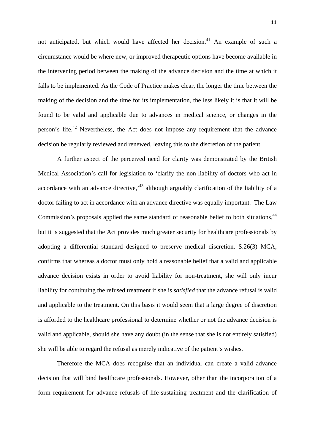not anticipated, but which would have affected her decision.<sup>41</sup> An example of such a circumstance would be where new, or improved therapeutic options have become available in the intervening period between the making of the advance decision and the time at which it falls to be implemented. As the Code of Practice makes clear, the longer the time between the making of the decision and the time for its implementation, the less likely it is that it will be found to be valid and applicable due to advances in medical science, or changes in the person's life.42 Nevertheless, the Act does not impose any requirement that the advance decision be regularly reviewed and renewed, leaving this to the discretion of the patient.

A further aspect of the perceived need for clarity was demonstrated by the British Medical Association's call for legislation to 'clarify the non-liability of doctors who act in accordance with an advance directive,<sup> $43$ </sup> although arguably clarification of the liability of a doctor failing to act in accordance with an advance directive was equally important. The Law Commission's proposals applied the same standard of reasonable belief to both situations,<sup>44</sup> but it is suggested that the Act provides much greater security for healthcare professionals by adopting a differential standard designed to preserve medical discretion. S.26(3) MCA, confirms that whereas a doctor must only hold a reasonable belief that a valid and applicable advance decision exists in order to avoid liability for non-treatment, she will only incur liability for continuing the refused treatment if she is *satisfied* that the advance refusal is valid and applicable to the treatment. On this basis it would seem that a large degree of discretion is afforded to the healthcare professional to determine whether or not the advance decision is valid and applicable, should she have any doubt (in the sense that she is not entirely satisfied) she will be able to regard the refusal as merely indicative of the patient's wishes.

Therefore the MCA does recognise that an individual can create a valid advance decision that will bind healthcare professionals. However, other than the incorporation of a form requirement for advance refusals of life-sustaining treatment and the clarification of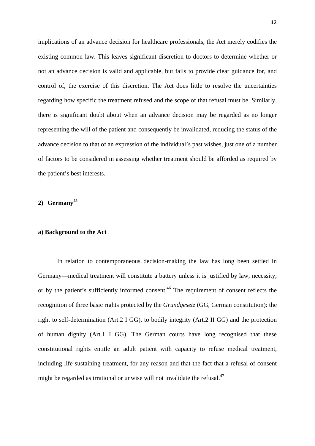implications of an advance decision for healthcare professionals, the Act merely codifies the existing common law. This leaves significant discretion to doctors to determine whether or not an advance decision is valid and applicable, but fails to provide clear guidance for, and control of, the exercise of this discretion. The Act does little to resolve the uncertainties regarding how specific the treatment refused and the scope of that refusal must be. Similarly, there is significant doubt about when an advance decision may be regarded as no longer representing the will of the patient and consequently be invalidated, reducing the status of the advance decision to that of an expression of the individual's past wishes, just one of a number of factors to be considered in assessing whether treatment should be afforded as required by the patient's best interests.

# **2) Germany45**

#### **a) Background to the Act**

In relation to contemporaneous decision-making the law has long been settled in Germany—medical treatment will constitute a battery unless it is justified by law, necessity, or by the patient's sufficiently informed consent.<sup>46</sup> The requirement of consent reflects the recognition of three basic rights protected by the *Grundgesetz* (GG, German constitution): the right to self-determination (Art.2 I GG), to bodily integrity (Art.2 II GG) and the protection of human dignity (Art.1 I GG). The German courts have long recognised that these constitutional rights entitle an adult patient with capacity to refuse medical treatment, including life-sustaining treatment, for any reason and that the fact that a refusal of consent might be regarded as irrational or unwise will not invalidate the refusal.<sup>47</sup>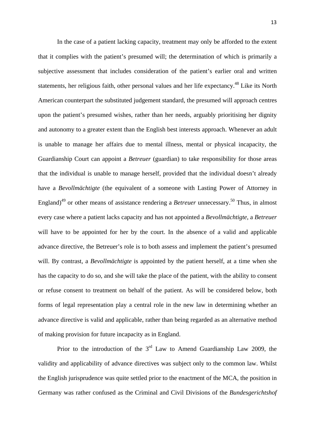In the case of a patient lacking capacity, treatment may only be afforded to the extent that it complies with the patient's presumed will; the determination of which is primarily a subjective assessment that includes consideration of the patient's earlier oral and written statements, her religious faith, other personal values and her life expectancy.<sup>48</sup> Like its North American counterpart the substituted judgement standard, the presumed will approach centres upon the patient's presumed wishes, rather than her needs, arguably prioritising her dignity and autonomy to a greater extent than the English best interests approach. Whenever an adult is unable to manage her affairs due to mental illness, mental or physical incapacity, the Guardianship Court can appoint a *Betreuer* (guardian) to take responsibility for those areas that the individual is unable to manage herself, provided that the individual doesn't already have a *Bevollmächtigte* (the equivalent of a someone with Lasting Power of Attorney in England)<sup>49</sup> or other means of assistance rendering a *Betreuer* unnecessary.<sup>50</sup> Thus, in almost every case where a patient lacks capacity and has not appointed a *Bevollmächtigte*, a *Betreuer* will have to be appointed for her by the court. In the absence of a valid and applicable advance directive, the Betreuer's role is to both assess and implement the patient's presumed will. By contrast, a *Bevollmächtigte* is appointed by the patient herself, at a time when she has the capacity to do so, and she will take the place of the patient, with the ability to consent or refuse consent to treatment on behalf of the patient. As will be considered below, both forms of legal representation play a central role in the new law in determining whether an advance directive is valid and applicable, rather than being regarded as an alternative method of making provision for future incapacity as in England.

Prior to the introduction of the  $3<sup>rd</sup>$  Law to Amend Guardianship Law 2009, the validity and applicability of advance directives was subject only to the common law. Whilst the English jurisprudence was quite settled prior to the enactment of the MCA, the position in Germany was rather confused as the Criminal and Civil Divisions of the *Bundesgerichtshof*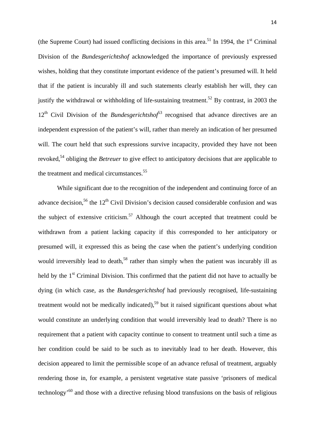(the Supreme Court) had issued conflicting decisions in this area.<sup>51</sup> In 1994, the 1<sup>st</sup> Criminal Division of the *Bundesgerichtshof* acknowledged the importance of previously expressed wishes, holding that they constitute important evidence of the patient's presumed will. It held that if the patient is incurably ill and such statements clearly establish her will, they can justify the withdrawal or withholding of life-sustaining treatment.<sup>52</sup> By contrast, in 2003 the  $12<sup>th</sup>$  Civil Division of the *Bundesgerichtshof*<sup>53</sup> recognised that advance directives are an independent expression of the patient's will, rather than merely an indication of her presumed will. The court held that such expressions survive incapacity, provided they have not been revoked,54 obliging the *Betreuer* to give effect to anticipatory decisions that are applicable to the treatment and medical circumstances.<sup>55</sup>

While significant due to the recognition of the independent and continuing force of an advance decision,<sup>56</sup> the  $12<sup>th</sup>$  Civil Division's decision caused considerable confusion and was the subject of extensive criticism.<sup>57</sup> Although the court accepted that treatment could be withdrawn from a patient lacking capacity if this corresponded to her anticipatory or presumed will, it expressed this as being the case when the patient's underlying condition would irreversibly lead to death,<sup>58</sup> rather than simply when the patient was incurably ill as held by the 1<sup>st</sup> Criminal Division. This confirmed that the patient did not have to actually be dying (in which case, as the *Bundesgerichtshof* had previously recognised, life-sustaining treatment would not be medically indicated).<sup>59</sup> but it raised significant questions about what would constitute an underlying condition that would irreversibly lead to death? There is no requirement that a patient with capacity continue to consent to treatment until such a time as her condition could be said to be such as to inevitably lead to her death. However, this decision appeared to limit the permissible scope of an advance refusal of treatment, arguably rendering those in, for example, a persistent vegetative state passive 'prisoners of medical technology'60 and those with a directive refusing blood transfusions on the basis of religious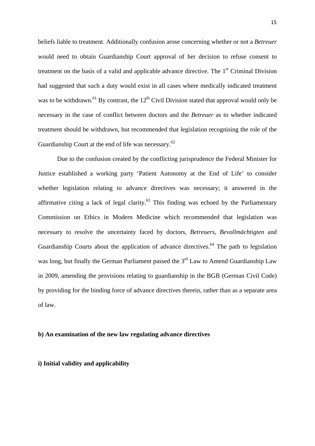beliefs liable to treatment. Additionally confusion arose concerning whether or not a *Betreuer* would need to obtain Guardianship Court approval of her decision to refuse consent to treatment on the basis of a valid and applicable advance directive. The  $1<sup>st</sup>$  Criminal Division had suggested that such a duty would exist in all cases where medically indicated treatment was to be withdrawn.<sup>61</sup> By contrast, the  $12<sup>th</sup>$  Civil Division stated that approval would only be necessary in the case of conflict between doctors and the *Betreuer* as to whether indicated treatment should be withdrawn, but recommended that legislation recognising the role of the Guardianship Court at the end of life was necessary.<sup>62</sup>

Due to the confusion created by the conflicting jurisprudence the Federal Minister for Justice established a working party 'Patient Autonomy at the End of Life' to consider whether legislation relating to advance directives was necessary; it answered in the affirmative citing a lack of legal clarity. $^{63}$  This finding was echoed by the Parliamentary Commission on Ethics in Modern Medicine which recommended that legislation was necessary to resolve the uncertainty faced by doctors, *Betreuers*, *Bevollmächtigten* and Guardianship Courts about the application of advance directives.<sup>64</sup> The path to legislation was long, but finally the German Parliament passed the  $3<sup>rd</sup>$  Law to Amend Guardianship Law in 2009, amending the provisions relating to guardianship in the BGB (German Civil Code) by providing for the binding force of advance directives therein, rather than as a separate area of law.

## **b) An examination of the new law regulating advance directives**

## **i) Initial validity and applicability**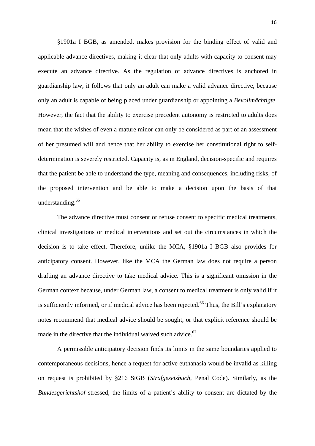§1901a I BGB, as amended, makes provision for the binding effect of valid and applicable advance directives, making it clear that only adults with capacity to consent may execute an advance directive. As the regulation of advance directives is anchored in guardianship law, it follows that only an adult can make a valid advance directive, because only an adult is capable of being placed under guardianship or appointing a *Bevollmächtigte*. However, the fact that the ability to exercise precedent autonomy is restricted to adults does mean that the wishes of even a mature minor can only be considered as part of an assessment of her presumed will and hence that her ability to exercise her constitutional right to selfdetermination is severely restricted. Capacity is, as in England, decision-specific and requires that the patient be able to understand the type, meaning and consequences, including risks, of the proposed intervention and be able to make a decision upon the basis of that understanding.<sup>65</sup>

The advance directive must consent or refuse consent to specific medical treatments, clinical investigations or medical interventions and set out the circumstances in which the decision is to take effect. Therefore, unlike the MCA, §1901a I BGB also provides for anticipatory consent. However, like the MCA the German law does not require a person drafting an advance directive to take medical advice. This is a significant omission in the German context because, under German law, a consent to medical treatment is only valid if it is sufficiently informed, or if medical advice has been rejected.<sup>66</sup> Thus, the Bill's explanatory notes recommend that medical advice should be sought, or that explicit reference should be made in the directive that the individual waived such advice.<sup>67</sup>

A permissible anticipatory decision finds its limits in the same boundaries applied to contemporaneous decisions, hence a request for active euthanasia would be invalid as killing on request is prohibited by §216 StGB (*Strafgesetzbuch*, Penal Code). Similarly, as the *Bundesgerichtshof* stressed, the limits of a patient's ability to consent are dictated by the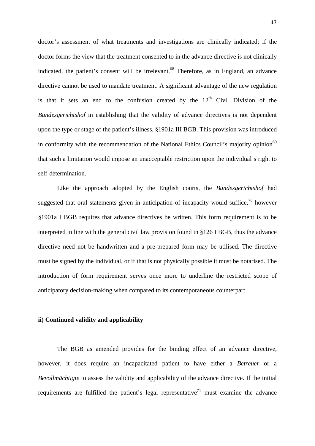doctor's assessment of what treatments and investigations are clinically indicated; if the doctor forms the view that the treatment consented to in the advance directive is not clinically indicated, the patient's consent will be irrelevant.<sup>68</sup> Therefore, as in England, an advance directive cannot be used to mandate treatment. A significant advantage of the new regulation is that it sets an end to the confusion created by the  $12<sup>th</sup>$  Civil Division of the *Bundesgerichtshof* in establishing that the validity of advance directives is not dependent upon the type or stage of the patient's illness, §1901a III BGB. This provision was introduced in conformity with the recommendation of the National Ethics Council's majority opinion<sup>69</sup> that such a limitation would impose an unacceptable restriction upon the individual's right to self-determination.

Like the approach adopted by the English courts, the *Bundesgerichtshof* had suggested that oral statements given in anticipation of incapacity would suffice,  $\frac{70}{10}$  however §1901a I BGB requires that advance directives be written. This form requirement is to be interpreted in line with the general civil law provision found in §126 I BGB, thus the advance directive need not be handwritten and a pre-prepared form may be utilised. The directive must be signed by the individual, or if that is not physically possible it must be notarised. The introduction of form requirement serves once more to underline the restricted scope of anticipatory decision-making when compared to its contemporaneous counterpart.

#### **ii) Continued validity and applicability**

The BGB as amended provides for the binding effect of an advance directive, however, it does require an incapacitated patient to have either a *Betreuer* or a *Bevollmächtigte* to assess the validity and applicability of the advance directive. If the initial requirements are fulfilled the patient's legal representative<sup>71</sup> must examine the advance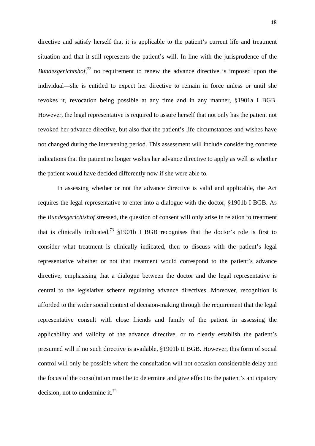directive and satisfy herself that it is applicable to the patient's current life and treatment situation and that it still represents the patient's will. In line with the jurisprudence of the *Bundesgerichtshof*,<sup>72</sup> no requirement to renew the advance directive is imposed upon the individual—she is entitled to expect her directive to remain in force unless or until she revokes it, revocation being possible at any time and in any manner, §1901a I BGB. However, the legal representative is required to assure herself that not only has the patient not revoked her advance directive, but also that the patient's life circumstances and wishes have not changed during the intervening period. This assessment will include considering concrete indications that the patient no longer wishes her advance directive to apply as well as whether the patient would have decided differently now if she were able to.

In assessing whether or not the advance directive is valid and applicable, the Act requires the legal representative to enter into a dialogue with the doctor, §1901b I BGB. As the *Bundesgerichtshof* stressed, the question of consent will only arise in relation to treatment that is clinically indicated.<sup>73</sup> §1901b I BGB recognises that the doctor's role is first to consider what treatment is clinically indicated, then to discuss with the patient's legal representative whether or not that treatment would correspond to the patient's advance directive, emphasising that a dialogue between the doctor and the legal representative is central to the legislative scheme regulating advance directives. Moreover, recognition is afforded to the wider social context of decision-making through the requirement that the legal representative consult with close friends and family of the patient in assessing the applicability and validity of the advance directive, or to clearly establish the patient's presumed will if no such directive is available, §1901b II BGB. However, this form of social control will only be possible where the consultation will not occasion considerable delay and the focus of the consultation must be to determine and give effect to the patient's anticipatory decision, not to undermine it.<sup>74</sup>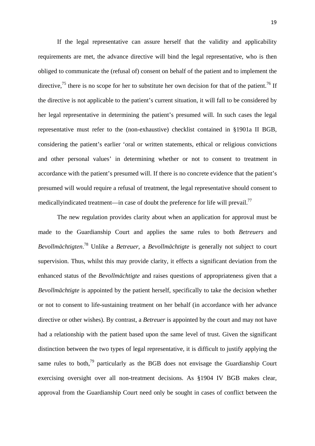If the legal representative can assure herself that the validity and applicability requirements are met, the advance directive will bind the legal representative, who is then obliged to communicate the (refusal of) consent on behalf of the patient and to implement the directive,<sup>75</sup> there is no scope for her to substitute her own decision for that of the patient.<sup>76</sup> If the directive is not applicable to the patient's current situation, it will fall to be considered by her legal representative in determining the patient's presumed will. In such cases the legal representative must refer to the (non-exhaustive) checklist contained in §1901a II BGB, considering the patient's earlier 'oral or written statements, ethical or religious convictions and other personal values' in determining whether or not to consent to treatment in accordance with the patient's presumed will. If there is no concrete evidence that the patient's presumed will would require a refusal of treatment, the legal representative should consent to medicallyindicated treatment—in case of doubt the preference for life will prevail.<sup>77</sup>

The new regulation provides clarity about when an application for approval must be made to the Guardianship Court and applies the same rules to both *Betreuers* and *Bevollmächtigten*. 78 Unlike a *Betreuer*, a *Bevollmächtigte* is generally not subject to court supervision. Thus, whilst this may provide clarity, it effects a significant deviation from the enhanced status of the *Bevollmächtigte* and raises questions of appropriateness given that a *Bevollmächtigte* is appointed by the patient herself, specifically to take the decision whether or not to consent to life-sustaining treatment on her behalf (in accordance with her advance directive or other wishes). By contrast, a *Betreuer* is appointed by the court and may not have had a relationship with the patient based upon the same level of trust. Given the significant distinction between the two types of legal representative, it is difficult to justify applying the same rules to both, $79$  particularly as the BGB does not envisage the Guardianship Court exercising oversight over all non-treatment decisions. As §1904 IV BGB makes clear, approval from the Guardianship Court need only be sought in cases of conflict between the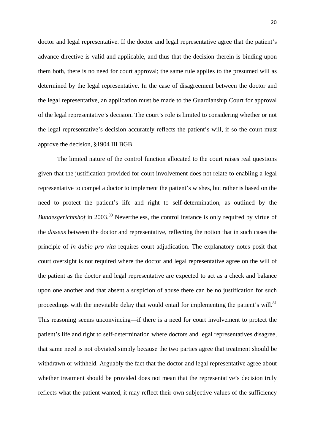doctor and legal representative. If the doctor and legal representative agree that the patient's advance directive is valid and applicable, and thus that the decision therein is binding upon them both, there is no need for court approval; the same rule applies to the presumed will as determined by the legal representative. In the case of disagreement between the doctor and the legal representative, an application must be made to the Guardianship Court for approval of the legal representative's decision. The court's role is limited to considering whether or not the legal representative's decision accurately reflects the patient's will, if so the court must approve the decision, §1904 III BGB.

The limited nature of the control function allocated to the court raises real questions given that the justification provided for court involvement does not relate to enabling a legal representative to compel a doctor to implement the patient's wishes, but rather is based on the need to protect the patient's life and right to self-determination, as outlined by the *Bundesgerichtshof* in 2003.<sup>80</sup> Nevertheless, the control instance is only required by virtue of the *dissens* between the doctor and representative, reflecting the notion that in such cases the principle of *in dubio pro vita* requires court adjudication. The explanatory notes posit that court oversight is not required where the doctor and legal representative agree on the will of the patient as the doctor and legal representative are expected to act as a check and balance upon one another and that absent a suspicion of abuse there can be no justification for such proceedings with the inevitable delay that would entail for implementing the patient's will.<sup>81</sup> This reasoning seems unconvincing—if there is a need for court involvement to protect the patient's life and right to self-determination where doctors and legal representatives disagree, that same need is not obviated simply because the two parties agree that treatment should be withdrawn or withheld. Arguably the fact that the doctor and legal representative agree about whether treatment should be provided does not mean that the representative's decision truly reflects what the patient wanted, it may reflect their own subjective values of the sufficiency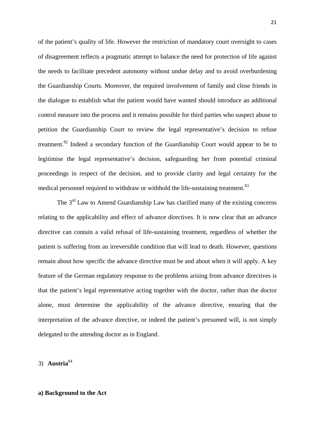of the patient's quality of life. However the restriction of mandatory court oversight to cases of disagreement reflects a pragmatic attempt to balance the need for protection of life against the needs to facilitate precedent autonomy without undue delay and to avoid overburdening the Guardianship Courts. Moreover, the required involvement of family and close friends in the dialogue to establish what the patient would have wanted should introduce an additional control measure into the process and it remains possible for third parties who suspect abuse to petition the Guardianship Court to review the legal representative's decision to refuse treatment.82 Indeed a secondary function of the Guardianship Court would appear to be to legitimise the legal representative's decision, safeguarding her from potential criminal proceedings in respect of the decision, and to provide clarity and legal certainty for the medical personnel required to withdraw or withhold the life-sustaining treatment.<sup>83</sup>

The  $3<sup>rd</sup>$  Law to Amend Guardianship Law has clarified many of the existing concerns relating to the applicability and effect of advance directives. It is now clear that an advance directive can contain a valid refusal of life-sustaining treatment, regardless of whether the patient is suffering from an irreversible condition that will lead to death. However, questions remain about how specific the advance directive must be and about when it will apply. A key feature of the German regulatory response to the problems arising from advance directives is that the patient's legal representative acting together with the doctor, rather than the doctor alone, must determine the applicability of the advance directive, ensuring that the interpretation of the advance directive, or indeed the patient's presumed will, is not simply delegated to the attending doctor as in England.

# 3) **Austria**<sup>84</sup>

### **a) Background to the Act**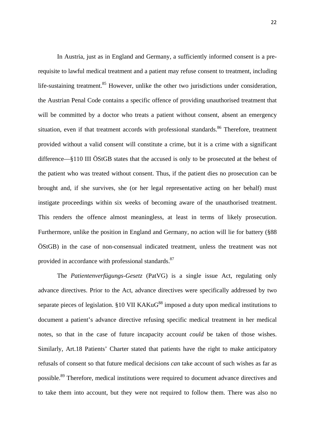In Austria, just as in England and Germany, a sufficiently informed consent is a prerequisite to lawful medical treatment and a patient may refuse consent to treatment, including life-sustaining treatment.<sup>85</sup> However, unlike the other two jurisdictions under consideration, the Austrian Penal Code contains a specific offence of providing unauthorised treatment that will be committed by a doctor who treats a patient without consent, absent an emergency situation, even if that treatment accords with professional standards.<sup>86</sup> Therefore, treatment provided without a valid consent will constitute a crime, but it is a crime with a significant difference—§110 III ÖStGB states that the accused is only to be prosecuted at the behest of the patient who was treated without consent. Thus, if the patient dies no prosecution can be brought and, if she survives, she (or her legal representative acting on her behalf) must instigate proceedings within six weeks of becoming aware of the unauthorised treatment. This renders the offence almost meaningless, at least in terms of likely prosecution. Furthermore, unlike the position in England and Germany, no action will lie for battery (§88 ÖStGB) in the case of non-consensual indicated treatment, unless the treatment was not provided in accordance with professional standards.<sup>87</sup>

The *Patientenverfügungs-Gesetz* (PatVG) is a single issue Act, regulating only advance directives. Prior to the Act, advance directives were specifically addressed by two separate pieces of legislation.  $$10$  VII KAKu $G^{88}$  imposed a duty upon medical institutions to document a patient's advance directive refusing specific medical treatment in her medical notes, so that in the case of future incapacity account *could* be taken of those wishes. Similarly, Art.18 Patients' Charter stated that patients have the right to make anticipatory refusals of consent so that future medical decisions *can* take account of such wishes as far as possible.89 Therefore, medical institutions were required to document advance directives and to take them into account, but they were not required to follow them. There was also no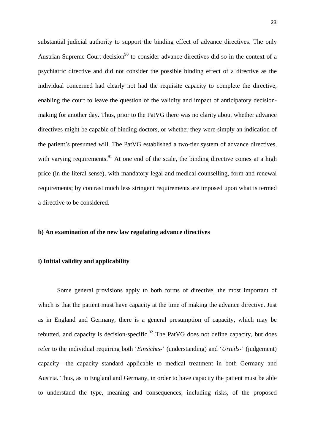substantial judicial authority to support the binding effect of advance directives. The only Austrian Supreme Court decision<sup>90</sup> to consider advance directives did so in the context of a psychiatric directive and did not consider the possible binding effect of a directive as the individual concerned had clearly not had the requisite capacity to complete the directive, enabling the court to leave the question of the validity and impact of anticipatory decisionmaking for another day. Thus, prior to the PatVG there was no clarity about whether advance directives might be capable of binding doctors, or whether they were simply an indication of the patient's presumed will. The PatVG established a two-tier system of advance directives, with varying requirements.<sup>91</sup> At one end of the scale, the binding directive comes at a high price (in the literal sense), with mandatory legal and medical counselling, form and renewal requirements; by contrast much less stringent requirements are imposed upon what is termed a directive to be considered.

#### **b) An examination of the new law regulating advance directives**

#### **i) Initial validity and applicability**

Some general provisions apply to both forms of directive, the most important of which is that the patient must have capacity at the time of making the advance directive. Just as in England and Germany, there is a general presumption of capacity, which may be rebutted, and capacity is decision-specific.<sup>92</sup> The PatVG does not define capacity, but does refer to the individual requiring both '*Einsichts-*' (understanding) and '*Urteils-*' (judgement) capacity—the capacity standard applicable to medical treatment in both Germany and Austria. Thus, as in England and Germany, in order to have capacity the patient must be able to understand the type, meaning and consequences, including risks, of the proposed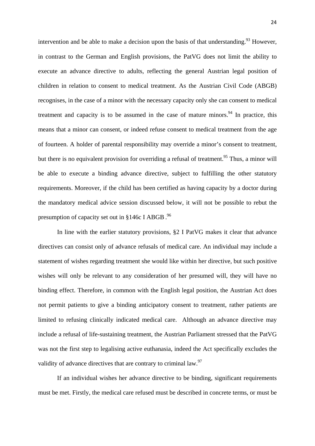intervention and be able to make a decision upon the basis of that understanding.<sup>93</sup> However, in contrast to the German and English provisions, the PatVG does not limit the ability to execute an advance directive to adults, reflecting the general Austrian legal position of children in relation to consent to medical treatment. As the Austrian Civil Code (ABGB) recognises, in the case of a minor with the necessary capacity only she can consent to medical treatment and capacity is to be assumed in the case of mature minors.  $94$  In practice, this means that a minor can consent, or indeed refuse consent to medical treatment from the age of fourteen. A holder of parental responsibility may override a minor's consent to treatment, but there is no equivalent provision for overriding a refusal of treatment.<sup>95</sup> Thus, a minor will be able to execute a binding advance directive, subject to fulfilling the other statutory requirements. Moreover, if the child has been certified as having capacity by a doctor during the mandatory medical advice session discussed below, it will not be possible to rebut the presumption of capacity set out in  $§146c$  I ABGB.<sup>96</sup>

In line with the earlier statutory provisions, §2 I PatVG makes it clear that advance directives can consist only of advance refusals of medical care. An individual may include a statement of wishes regarding treatment she would like within her directive, but such positive wishes will only be relevant to any consideration of her presumed will, they will have no binding effect. Therefore, in common with the English legal position, the Austrian Act does not permit patients to give a binding anticipatory consent to treatment, rather patients are limited to refusing clinically indicated medical care. Although an advance directive may include a refusal of life-sustaining treatment, the Austrian Parliament stressed that the PatVG was not the first step to legalising active euthanasia, indeed the Act specifically excludes the validity of advance directives that are contrary to criminal law.<sup>97</sup>

If an individual wishes her advance directive to be binding, significant requirements must be met. Firstly, the medical care refused must be described in concrete terms, or must be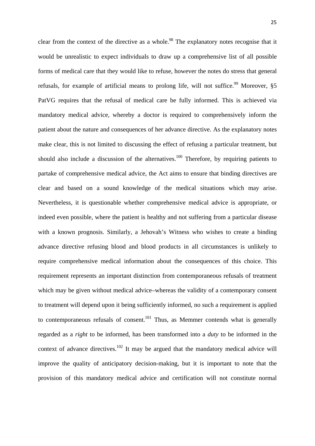clear from the context of the directive as a whole.<sup>98</sup> The explanatory notes recognise that it would be unrealistic to expect individuals to draw up a comprehensive list of all possible forms of medical care that they would like to refuse, however the notes do stress that general refusals, for example of artificial means to prolong life, will not suffice.<sup>99</sup> Moreover, §5 PatVG requires that the refusal of medical care be fully informed. This is achieved via mandatory medical advice, whereby a doctor is required to comprehensively inform the patient about the nature and consequences of her advance directive. As the explanatory notes make clear, this is not limited to discussing the effect of refusing a particular treatment, but should also include a discussion of the alternatives.<sup>100</sup> Therefore, by requiring patients to partake of comprehensive medical advice, the Act aims to ensure that binding directives are clear and based on a sound knowledge of the medical situations which may arise. Nevertheless, it is questionable whether comprehensive medical advice is appropriate, or indeed even possible, where the patient is healthy and not suffering from a particular disease with a known prognosis. Similarly, a Jehovah's Witness who wishes to create a binding advance directive refusing blood and blood products in all circumstances is unlikely to require comprehensive medical information about the consequences of this choice. This requirement represents an important distinction from contemporaneous refusals of treatment which may be given without medical advice–whereas the validity of a contemporary consent to treatment will depend upon it being sufficiently informed, no such a requirement is applied to contemporaneous refusals of consent.<sup>101</sup> Thus, as Memmer contends what is generally regarded as a *right* to be informed, has been transformed into a *duty* to be informed in the context of advance directives.102 It may be argued that the mandatory medical advice will improve the quality of anticipatory decision-making, but it is important to note that the provision of this mandatory medical advice and certification will not constitute normal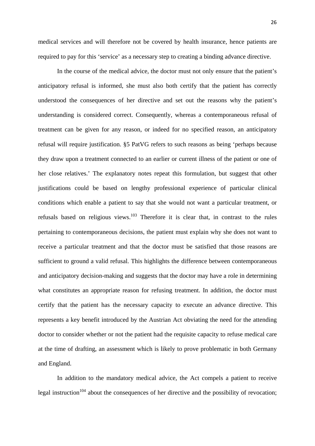medical services and will therefore not be covered by health insurance, hence patients are required to pay for this 'service' as a necessary step to creating a binding advance directive.

In the course of the medical advice, the doctor must not only ensure that the patient's anticipatory refusal is informed, she must also both certify that the patient has correctly understood the consequences of her directive and set out the reasons why the patient's understanding is considered correct. Consequently, whereas a contemporaneous refusal of treatment can be given for any reason, or indeed for no specified reason, an anticipatory refusal will require justification. §5 PatVG refers to such reasons as being 'perhaps because they draw upon a treatment connected to an earlier or current illness of the patient or one of her close relatives.' The explanatory notes repeat this formulation, but suggest that other justifications could be based on lengthy professional experience of particular clinical conditions which enable a patient to say that she would not want a particular treatment, or refusals based on religious views.<sup>103</sup> Therefore it is clear that, in contrast to the rules pertaining to contemporaneous decisions, the patient must explain why she does not want to receive a particular treatment and that the doctor must be satisfied that those reasons are sufficient to ground a valid refusal. This highlights the difference between contemporaneous and anticipatory decision-making and suggests that the doctor may have a role in determining what constitutes an appropriate reason for refusing treatment. In addition, the doctor must certify that the patient has the necessary capacity to execute an advance directive. This represents a key benefit introduced by the Austrian Act obviating the need for the attending doctor to consider whether or not the patient had the requisite capacity to refuse medical care at the time of drafting, an assessment which is likely to prove problematic in both Germany and England.

In addition to the mandatory medical advice, the Act compels a patient to receive legal instruction<sup>104</sup> about the consequences of her directive and the possibility of revocation;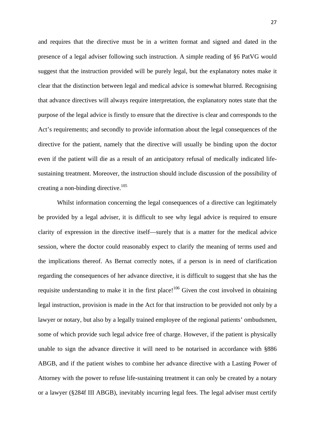and requires that the directive must be in a written format and signed and dated in the presence of a legal adviser following such instruction. A simple reading of §6 PatVG would suggest that the instruction provided will be purely legal, but the explanatory notes make it clear that the distinction between legal and medical advice is somewhat blurred. Recognising that advance directives will always require interpretation, the explanatory notes state that the purpose of the legal advice is firstly to ensure that the directive is clear and corresponds to the Act's requirements; and secondly to provide information about the legal consequences of the directive for the patient, namely that the directive will usually be binding upon the doctor even if the patient will die as a result of an anticipatory refusal of medically indicated lifesustaining treatment. Moreover, the instruction should include discussion of the possibility of creating a non-binding directive.<sup>105</sup>

Whilst information concerning the legal consequences of a directive can legitimately be provided by a legal adviser, it is difficult to see why legal advice is required to ensure clarity of expression in the directive itself—surely that is a matter for the medical advice session, where the doctor could reasonably expect to clarify the meaning of terms used and the implications thereof. As Bernat correctly notes, if a person is in need of clarification regarding the consequences of her advance directive, it is difficult to suggest that she has the requisite understanding to make it in the first place!<sup>106</sup> Given the cost involved in obtaining legal instruction, provision is made in the Act for that instruction to be provided not only by a lawyer or notary, but also by a legally trained employee of the regional patients' ombudsmen, some of which provide such legal advice free of charge. However, if the patient is physically unable to sign the advance directive it will need to be notarised in accordance with §886 ABGB, and if the patient wishes to combine her advance directive with a Lasting Power of Attorney with the power to refuse life-sustaining treatment it can only be created by a notary or a lawyer (§284f III ABGB), inevitably incurring legal fees. The legal adviser must certify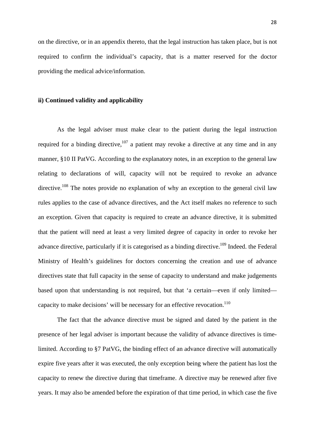on the directive, or in an appendix thereto, that the legal instruction has taken place, but is not required to confirm the individual's capacity, that is a matter reserved for the doctor providing the medical advice/information.

#### **ii) Continued validity and applicability**

As the legal adviser must make clear to the patient during the legal instruction required for a binding directive,  $107$  a patient may revoke a directive at any time and in any manner, §10 II PatVG. According to the explanatory notes, in an exception to the general law relating to declarations of will, capacity will not be required to revoke an advance directive.<sup>108</sup> The notes provide no explanation of why an exception to the general civil law rules applies to the case of advance directives, and the Act itself makes no reference to such an exception. Given that capacity is required to create an advance directive, it is submitted that the patient will need at least a very limited degree of capacity in order to revoke her advance directive, particularly if it is categorised as a binding directive.<sup>109</sup> Indeed, the Federal Ministry of Health's guidelines for doctors concerning the creation and use of advance directives state that full capacity in the sense of capacity to understand and make judgements based upon that understanding is not required, but that 'a certain—even if only limited capacity to make decisions' will be necessary for an effective revocation.<sup>110</sup>

The fact that the advance directive must be signed and dated by the patient in the presence of her legal adviser is important because the validity of advance directives is timelimited. According to §7 PatVG, the binding effect of an advance directive will automatically expire five years after it was executed, the only exception being where the patient has lost the capacity to renew the directive during that timeframe. A directive may be renewed after five years. It may also be amended before the expiration of that time period, in which case the five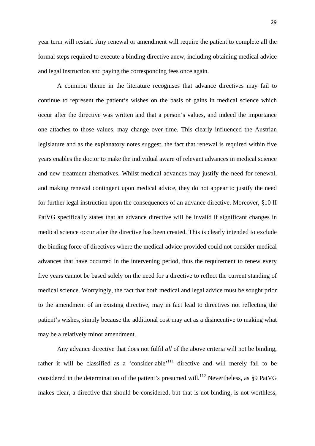year term will restart. Any renewal or amendment will require the patient to complete all the formal steps required to execute a binding directive anew, including obtaining medical advice and legal instruction and paying the corresponding fees once again.

A common theme in the literature recognises that advance directives may fail to continue to represent the patient's wishes on the basis of gains in medical science which occur after the directive was written and that a person's values, and indeed the importance one attaches to those values, may change over time. This clearly influenced the Austrian legislature and as the explanatory notes suggest, the fact that renewal is required within five years enables the doctor to make the individual aware of relevant advances in medical science and new treatment alternatives. Whilst medical advances may justify the need for renewal, and making renewal contingent upon medical advice, they do not appear to justify the need for further legal instruction upon the consequences of an advance directive. Moreover, §10 II PatVG specifically states that an advance directive will be invalid if significant changes in medical science occur after the directive has been created. This is clearly intended to exclude the binding force of directives where the medical advice provided could not consider medical advances that have occurred in the intervening period, thus the requirement to renew every five years cannot be based solely on the need for a directive to reflect the current standing of medical science. Worryingly, the fact that both medical and legal advice must be sought prior to the amendment of an existing directive, may in fact lead to directives not reflecting the patient's wishes, simply because the additional cost may act as a disincentive to making what may be a relatively minor amendment.

Any advance directive that does not fulfil *all* of the above criteria will not be binding, rather it will be classified as a 'consider-able'111 directive and will merely fall to be considered in the determination of the patient's presumed will.<sup>112</sup> Nevertheless, as §9 PatVG makes clear, a directive that should be considered, but that is not binding, is not worthless,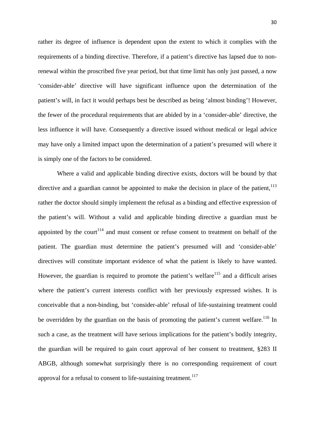rather its degree of influence is dependent upon the extent to which it complies with the requirements of a binding directive. Therefore, if a patient's directive has lapsed due to nonrenewal within the proscribed five year period, but that time limit has only just passed, a now 'consider-able' directive will have significant influence upon the determination of the patient's will, in fact it would perhaps best be described as being 'almost binding'! However, the fewer of the procedural requirements that are abided by in a 'consider-able' directive, the less influence it will have. Consequently a directive issued without medical or legal advice may have only a limited impact upon the determination of a patient's presumed will where it is simply one of the factors to be considered.

Where a valid and applicable binding directive exists, doctors will be bound by that directive and a guardian cannot be appointed to make the decision in place of the patient,  $^{113}$ rather the doctor should simply implement the refusal as a binding and effective expression of the patient's will. Without a valid and applicable binding directive a guardian must be appointed by the court<sup>114</sup> and must consent or refuse consent to treatment on behalf of the patient. The guardian must determine the patient's presumed will and 'consider-able' directives will constitute important evidence of what the patient is likely to have wanted. However, the guardian is required to promote the patient's welfare<sup>115</sup> and a difficult arises where the patient's current interests conflict with her previously expressed wishes. It is conceivable that a non-binding, but 'consider-able' refusal of life-sustaining treatment could be overridden by the guardian on the basis of promoting the patient's current welfare.<sup>116</sup> In such a case, as the treatment will have serious implications for the patient's bodily integrity, the guardian will be required to gain court approval of her consent to treatment, §283 II ABGB, although somewhat surprisingly there is no corresponding requirement of court approval for a refusal to consent to life-sustaining treatment.<sup>117</sup>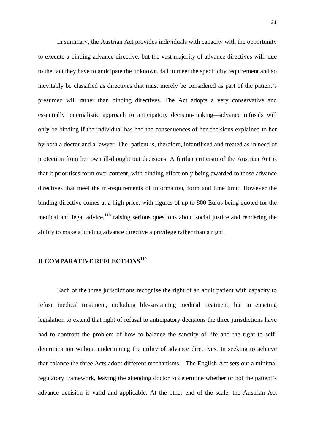In summary, the Austrian Act provides individuals with capacity with the opportunity to execute a binding advance directive, but the vast majority of advance directives will, due to the fact they have to anticipate the unknown, fail to meet the specificity requirement and so inevitably be classified as directives that must merely be considered as part of the patient's presumed will rather than binding directives. The Act adopts a very conservative and essentially paternalistic approach to anticipatory decision-making—advance refusals will only be binding if the individual has had the consequences of her decisions explained to her by both a doctor and a lawyer. The patient is, therefore, infantilised and treated as in need of protection from her own ill-thought out decisions. A further criticism of the Austrian Act is that it prioritises form over content, with binding effect only being awarded to those advance directives that meet the tri-requirements of information, form and time limit. However the binding directive comes at a high price, with figures of up to 800 Euros being quoted for the medical and legal advice, $118$  raising serious questions about social justice and rendering the ability to make a binding advance directive a privilege rather than a right.

# **II COMPARATIVE REFLECTIONS<sup>119</sup>**

Each of the three jurisdictions recognise the right of an adult patient with capacity to refuse medical treatment, including life-sustaining medical treatment, but in enacting legislation to extend that right of refusal to anticipatory decisions the three jurisdictions have had to confront the problem of how to balance the sanctity of life and the right to selfdetermination without undermining the utility of advance directives. In seeking to achieve that balance the three Acts adopt different mechanisms. . The English Act sets out a minimal regulatory framework, leaving the attending doctor to determine whether or not the patient's advance decision is valid and applicable. At the other end of the scale, the Austrian Act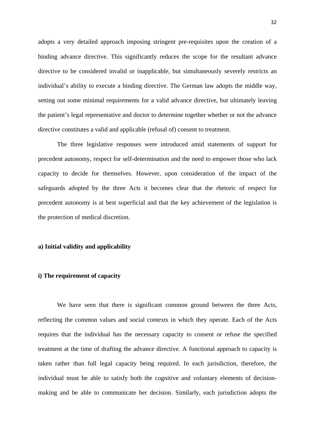adopts a very detailed approach imposing stringent pre-requisites upon the creation of a binding advance directive. This significantly reduces the scope for the resultant advance directive to be considered invalid or inapplicable, but simultaneously severely restricts an individual's ability to execute a binding directive. The German law adopts the middle way, setting out some minimal requirements for a valid advance directive, but ultimately leaving the patient's legal representative and doctor to determine together whether or not the advance directive constitutes a valid and applicable (refusal of) consent to treatment.

The three legislative responses were introduced amid statements of support for precedent autonomy, respect for self-determination and the need to empower those who lack capacity to decide for themselves. However, upon consideration of the impact of the safeguards adopted by the three Acts it becomes clear that the rhetoric of respect for precedent autonomy is at best superficial and that the key achievement of the legislation is the protection of medical discretion.

#### **a) Initial validity and applicability**

## **i) The requirement of capacity**

We have seen that there is significant common ground between the three Acts, reflecting the common values and social contexts in which they operate. Each of the Acts requires that the individual has the necessary capacity to consent or refuse the specified treatment at the time of drafting the advance directive. A functional approach to capacity is taken rather than full legal capacity being required. In each jurisdiction, therefore, the individual must be able to satisfy both the cognitive and voluntary elements of decisionmaking and be able to communicate her decision. Similarly, each jurisdiction adopts the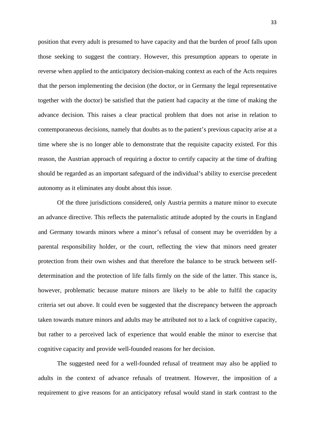position that every adult is presumed to have capacity and that the burden of proof falls upon those seeking to suggest the contrary. However, this presumption appears to operate in reverse when applied to the anticipatory decision-making context as each of the Acts requires that the person implementing the decision (the doctor, or in Germany the legal representative together with the doctor) be satisfied that the patient had capacity at the time of making the advance decision. This raises a clear practical problem that does not arise in relation to contemporaneous decisions, namely that doubts as to the patient's previous capacity arise at a time where she is no longer able to demonstrate that the requisite capacity existed. For this reason, the Austrian approach of requiring a doctor to certify capacity at the time of drafting should be regarded as an important safeguard of the individual's ability to exercise precedent autonomy as it eliminates any doubt about this issue.

Of the three jurisdictions considered, only Austria permits a mature minor to execute an advance directive. This reflects the paternalistic attitude adopted by the courts in England and Germany towards minors where a minor's refusal of consent may be overridden by a parental responsibility holder, or the court, reflecting the view that minors need greater protection from their own wishes and that therefore the balance to be struck between selfdetermination and the protection of life falls firmly on the side of the latter. This stance is, however, problematic because mature minors are likely to be able to fulfil the capacity criteria set out above. It could even be suggested that the discrepancy between the approach taken towards mature minors and adults may be attributed not to a lack of cognitive capacity, but rather to a perceived lack of experience that would enable the minor to exercise that cognitive capacity and provide well-founded reasons for her decision.

The suggested need for a well-founded refusal of treatment may also be applied to adults in the context of advance refusals of treatment. However, the imposition of a requirement to give reasons for an anticipatory refusal would stand in stark contrast to the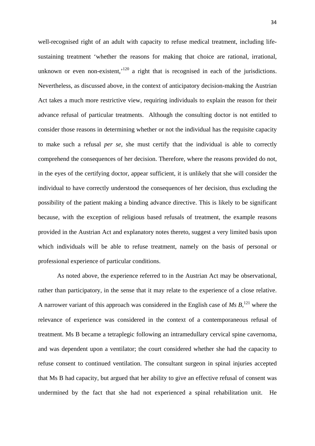well-recognised right of an adult with capacity to refuse medical treatment, including lifesustaining treatment 'whether the reasons for making that choice are rational, irrational, unknown or even non-existent,<sup> $120$ </sup> a right that is recognised in each of the jurisdictions. Nevertheless, as discussed above, in the context of anticipatory decision-making the Austrian Act takes a much more restrictive view, requiring individuals to explain the reason for their advance refusal of particular treatments. Although the consulting doctor is not entitled to consider those reasons in determining whether or not the individual has the requisite capacity to make such a refusal *per se*, she must certify that the individual is able to correctly comprehend the consequences of her decision. Therefore, where the reasons provided do not, in the eyes of the certifying doctor, appear sufficient, it is unlikely that she will consider the individual to have correctly understood the consequences of her decision, thus excluding the possibility of the patient making a binding advance directive. This is likely to be significant because, with the exception of religious based refusals of treatment, the example reasons provided in the Austrian Act and explanatory notes thereto, suggest a very limited basis upon which individuals will be able to refuse treatment, namely on the basis of personal or professional experience of particular conditions.

As noted above, the experience referred to in the Austrian Act may be observational, rather than participatory, in the sense that it may relate to the experience of a close relative. A narrower variant of this approach was considered in the English case of  $Ms B$ ,<sup>121</sup>, where the relevance of experience was considered in the context of a contemporaneous refusal of treatment. Ms B became a tetraplegic following an intramedullary cervical spine cavernoma, and was dependent upon a ventilator; the court considered whether she had the capacity to refuse consent to continued ventilation. The consultant surgeon in spinal injuries accepted that Ms B had capacity, but argued that her ability to give an effective refusal of consent was undermined by the fact that she had not experienced a spinal rehabilitation unit. He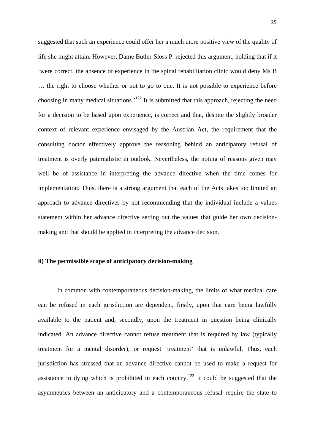suggested that such an experience could offer her a much more positive view of the quality of life she might attain. However, Dame Butler-Sloss P. rejected this argument, holding that if it 'were correct, the absence of experience in the spinal rehabilitation clinic would deny Ms B … the right to choose whether or not to go to one. It is not possible to experience before choosing in many medical situations.'122 It is submitted that this approach, rejecting the need for a decision to be based upon experience, is correct and that, despite the slightly broader context of relevant experience envisaged by the Austrian Act, the requirement that the consulting doctor effectively approve the reasoning behind an anticipatory refusal of treatment is overly paternalistic in outlook. Nevertheless, the noting of reasons given may well be of assistance in interpreting the advance directive when the time comes for implementation. Thus, there is a strong argument that each of the Acts takes too limited an approach to advance directives by not recommending that the individual include a values statement within her advance directive setting out the values that guide her own decisionmaking and that should be applied in interpreting the advance decision.

#### **ii) The permissible scope of anticipatory decision-making**

In common with contemporaneous decision-making, the limits of what medical care can be refused in each jurisdiction are dependent, firstly, upon that care being lawfully available to the patient and, secondly, upon the treatment in question being clinically indicated. An advance directive cannot refuse treatment that is required by law (typically treatment for a mental disorder), or request 'treatment' that is unlawful. Thus, each jurisdiction has stressed that an advance directive cannot be used to make a request for assistance in dying which is prohibited in each country.<sup>123</sup> It could be suggested that the asymmetries between an anticipatory and a contemporaneous refusal require the state to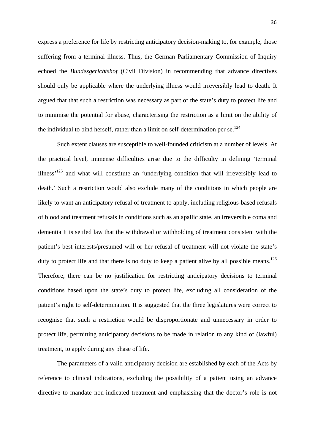express a preference for life by restricting anticipatory decision-making to, for example, those suffering from a terminal illness. Thus, the German Parliamentary Commission of Inquiry echoed the *Bundesgerichtshof* (Civil Division) in recommending that advance directives should only be applicable where the underlying illness would irreversibly lead to death. It argued that that such a restriction was necessary as part of the state's duty to protect life and to minimise the potential for abuse, characterising the restriction as a limit on the ability of the individual to bind herself, rather than a limit on self-determination per se.<sup>124</sup>

Such extent clauses are susceptible to well-founded criticism at a number of levels. At the practical level, immense difficulties arise due to the difficulty in defining 'terminal illness<sup> $125$ </sup> and what will constitute an 'underlying condition that will irreversibly lead to death.' Such a restriction would also exclude many of the conditions in which people are likely to want an anticipatory refusal of treatment to apply, including religious-based refusals of blood and treatment refusals in conditions such as an apallic state, an irreversible coma and dementia It is settled law that the withdrawal or withholding of treatment consistent with the patient's best interests/presumed will or her refusal of treatment will not violate the state's duty to protect life and that there is no duty to keep a patient alive by all possible means.<sup>126</sup> Therefore, there can be no justification for restricting anticipatory decisions to terminal conditions based upon the state's duty to protect life, excluding all consideration of the patient's right to self-determination. It is suggested that the three legislatures were correct to recognise that such a restriction would be disproportionate and unnecessary in order to protect life, permitting anticipatory decisions to be made in relation to any kind of (lawful) treatment, to apply during any phase of life.

The parameters of a valid anticipatory decision are established by each of the Acts by reference to clinical indications, excluding the possibility of a patient using an advance directive to mandate non-indicated treatment and emphasising that the doctor's role is not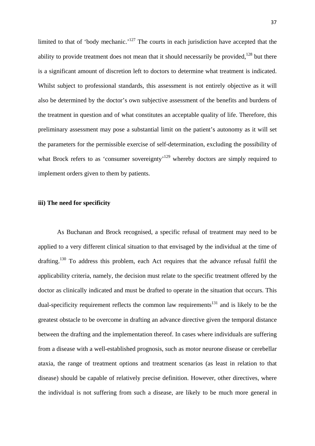limited to that of 'body mechanic.'<sup>127</sup> The courts in each jurisdiction have accepted that the ability to provide treatment does not mean that it should necessarily be provided,  $128$  but there is a significant amount of discretion left to doctors to determine what treatment is indicated. Whilst subject to professional standards, this assessment is not entirely objective as it will also be determined by the doctor's own subjective assessment of the benefits and burdens of the treatment in question and of what constitutes an acceptable quality of life. Therefore, this preliminary assessment may pose a substantial limit on the patient's autonomy as it will set the parameters for the permissible exercise of self-determination, excluding the possibility of what Brock refers to as 'consumer sovereignty'<sup>129</sup> whereby doctors are simply required to implement orders given to them by patients.

#### **iii) The need for specificity**

As Buchanan and Brock recognised, a specific refusal of treatment may need to be applied to a very different clinical situation to that envisaged by the individual at the time of drafting.<sup>130</sup> To address this problem, each Act requires that the advance refusal fulfil the applicability criteria, namely, the decision must relate to the specific treatment offered by the doctor as clinically indicated and must be drafted to operate in the situation that occurs. This dual-specificity requirement reflects the common law requirements<sup>131</sup> and is likely to be the greatest obstacle to be overcome in drafting an advance directive given the temporal distance between the drafting and the implementation thereof. In cases where individuals are suffering from a disease with a well-established prognosis, such as motor neurone disease or cerebellar ataxia, the range of treatment options and treatment scenarios (as least in relation to that disease) should be capable of relatively precise definition. However, other directives, where the individual is not suffering from such a disease, are likely to be much more general in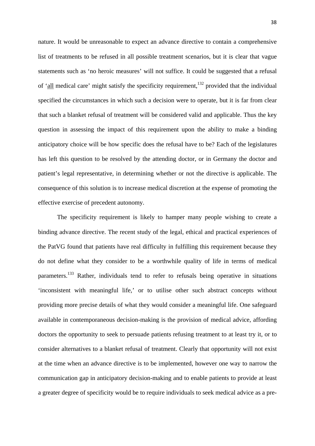nature. It would be unreasonable to expect an advance directive to contain a comprehensive list of treatments to be refused in all possible treatment scenarios, but it is clear that vague statements such as 'no heroic measures' will not suffice. It could be suggested that a refusal of 'all medical care' might satisfy the specificity requirement, $132$  provided that the individual specified the circumstances in which such a decision were to operate, but it is far from clear that such a blanket refusal of treatment will be considered valid and applicable. Thus the key question in assessing the impact of this requirement upon the ability to make a binding anticipatory choice will be how specific does the refusal have to be? Each of the legislatures has left this question to be resolved by the attending doctor, or in Germany the doctor and patient's legal representative, in determining whether or not the directive is applicable. The consequence of this solution is to increase medical discretion at the expense of promoting the effective exercise of precedent autonomy.

The specificity requirement is likely to hamper many people wishing to create a binding advance directive. The recent study of the legal, ethical and practical experiences of the PatVG found that patients have real difficulty in fulfilling this requirement because they do not define what they consider to be a worthwhile quality of life in terms of medical parameters.<sup>133</sup> Rather, individuals tend to refer to refusals being operative in situations 'inconsistent with meaningful life,' or to utilise other such abstract concepts without providing more precise details of what they would consider a meaningful life. One safeguard available in contemporaneous decision-making is the provision of medical advice, affording doctors the opportunity to seek to persuade patients refusing treatment to at least try it, or to consider alternatives to a blanket refusal of treatment. Clearly that opportunity will not exist at the time when an advance directive is to be implemented, however one way to narrow the communication gap in anticipatory decision-making and to enable patients to provide at least a greater degree of specificity would be to require individuals to seek medical advice as a pre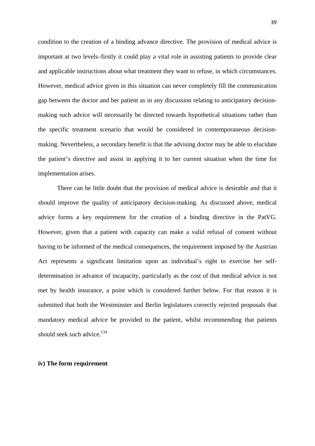condition to the creation of a binding advance directive. The provision of medical advice is important at two levels–firstly it could play a vital role in assisting patients to provide clear and applicable instructions about what treatment they want to refuse, in which circumstances. However, medical advice given in this situation can never completely fill the communication gap between the doctor and her patient as in any discussion relating to anticipatory decisionmaking such advice will necessarily be directed towards hypothetical situations rather than the specific treatment scenario that would be considered in contemporaneous decisionmaking. Nevertheless, a secondary benefit is that the advising doctor may be able to elucidate the patient's directive and assist in applying it to her current situation when the time for implementation arises.

There can be little doubt that the provision of medical advice is desirable and that it should improve the quality of anticipatory decision-making. As discussed above, medical advice forms a key requirement for the creation of a binding directive in the PatVG. However, given that a patient with capacity can make a valid refusal of consent without having to be informed of the medical consequences, the requirement imposed by the Austrian Act represents a significant limitation upon an individual's right to exercise her selfdetermination in advance of incapacity, particularly as the cost of that medical advice is not met by health insurance, a point which is considered further below. For that reason it is submitted that both the Westminster and Berlin legislatures correctly rejected proposals that mandatory medical advice be provided to the patient, whilst recommending that patients should seek such advice. $134$ 

#### **iv) The form requirement**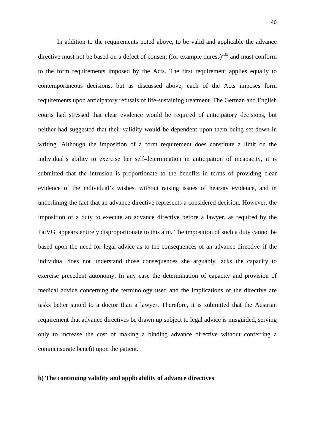In addition to the requirements noted above, to be valid and applicable the advance directive must not be based on a defect of consent (for example duress)<sup>135</sup> and must conform to the form requirements imposed by the Acts. The first requirement applies equally to contemporaneous decisions, but as discussed above, each of the Acts imposes form requirements upon anticipatory refusals of life-sustaining treatment. The German and English courts had stressed that clear evidence would be required of anticipatory decisions, but neither had suggested that their validity would be dependent upon them being set down in writing. Although the imposition of a form requirement does constitute a limit on the individual's ability to exercise her self-determination in anticipation of incapacity, it is submitted that the intrusion is proportionate to the benefits in terms of providing clear evidence of the individual's wishes, without raising issues of hearsay evidence, and in underlining the fact that an advance directive represents a considered decision. However, the imposition of a duty to execute an advance directive before a lawyer, as required by the PatVG, appears entirely disproportionate to this aim. The imposition of such a duty cannot be based upon the need for legal advice as to the consequences of an advance directive–if the individual does not understand those consequences she arguably lacks the capacity to exercise precedent autonomy. In any case the determination of capacity and provision of medical advice concerning the terminology used and the implications of the directive are tasks better suited to a doctor than a lawyer. Therefore, it is submitted that the Austrian requirement that advance directives be drawn up subject to legal advice is misguided, serving only to increase the cost of making a binding advance directive without conferring a commensurate benefit upon the patient.

#### **b) The continuing validity and applicability of advance directives**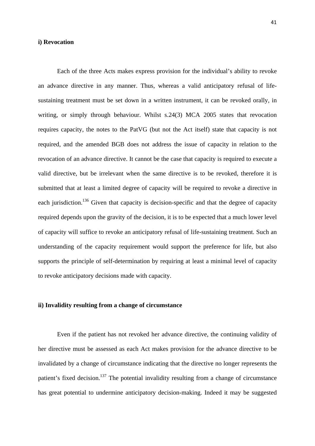#### **i) Revocation**

Each of the three Acts makes express provision for the individual's ability to revoke an advance directive in any manner. Thus, whereas a valid anticipatory refusal of lifesustaining treatment must be set down in a written instrument, it can be revoked orally, in writing, or simply through behaviour. Whilst s.24(3) MCA 2005 states that revocation requires capacity, the notes to the PatVG (but not the Act itself) state that capacity is not required, and the amended BGB does not address the issue of capacity in relation to the revocation of an advance directive. It cannot be the case that capacity is required to execute a valid directive, but be irrelevant when the same directive is to be revoked, therefore it is submitted that at least a limited degree of capacity will be required to revoke a directive in each jurisdiction.<sup>136</sup> Given that capacity is decision-specific and that the degree of capacity required depends upon the gravity of the decision, it is to be expected that a much lower level of capacity will suffice to revoke an anticipatory refusal of life-sustaining treatment. Such an understanding of the capacity requirement would support the preference for life, but also supports the principle of self-determination by requiring at least a minimal level of capacity to revoke anticipatory decisions made with capacity.

#### **ii) Invalidity resulting from a change of circumstance**

Even if the patient has not revoked her advance directive, the continuing validity of her directive must be assessed as each Act makes provision for the advance directive to be invalidated by a change of circumstance indicating that the directive no longer represents the patient's fixed decision.<sup>137</sup> The potential invalidity resulting from a change of circumstance has great potential to undermine anticipatory decision-making. Indeed it may be suggested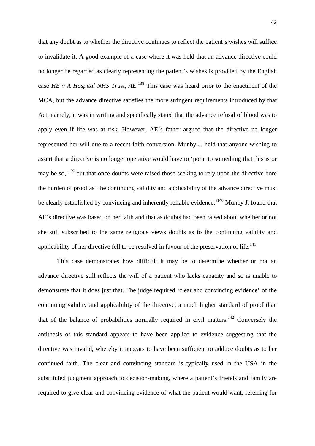that any doubt as to whether the directive continues to reflect the patient's wishes will suffice to invalidate it. A good example of a case where it was held that an advance directive could no longer be regarded as clearly representing the patient's wishes is provided by the English case *HE v A Hospital NHS Trust, AE*.<sup>138</sup> This case was heard prior to the enactment of the MCA, but the advance directive satisfies the more stringent requirements introduced by that Act, namely, it was in writing and specifically stated that the advance refusal of blood was to apply even if life was at risk. However, AE's father argued that the directive no longer represented her will due to a recent faith conversion. Munby J. held that anyone wishing to assert that a directive is no longer operative would have to 'point to something that this is or may be so,<sup>139</sup> but that once doubts were raised those seeking to rely upon the directive bore the burden of proof as 'the continuing validity and applicability of the advance directive must be clearly established by convincing and inherently reliable evidence.'<sup>140</sup> Munby J. found that AE's directive was based on her faith and that as doubts had been raised about whether or not she still subscribed to the same religious views doubts as to the continuing validity and applicability of her directive fell to be resolved in favour of the preservation of life.<sup>141</sup>

This case demonstrates how difficult it may be to determine whether or not an advance directive still reflects the will of a patient who lacks capacity and so is unable to demonstrate that it does just that. The judge required 'clear and convincing evidence' of the continuing validity and applicability of the directive, a much higher standard of proof than that of the balance of probabilities normally required in civil matters.<sup>142</sup> Conversely the antithesis of this standard appears to have been applied to evidence suggesting that the directive was invalid, whereby it appears to have been sufficient to adduce doubts as to her continued faith. The clear and convincing standard is typically used in the USA in the substituted judgment approach to decision-making, where a patient's friends and family are required to give clear and convincing evidence of what the patient would want, referring for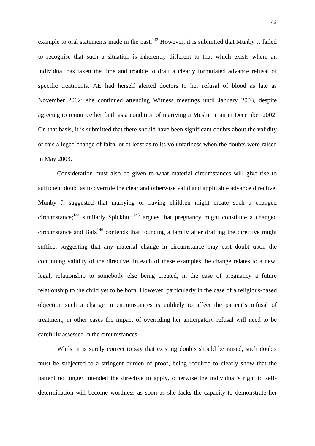example to oral statements made in the past.<sup>143</sup> However, it is submitted that Munby J. failed to recognise that such a situation is inherently different to that which exists where an individual has taken the time and trouble to draft a clearly formulated advance refusal of specific treatments. AE had herself alerted doctors to her refusal of blood as late as November 2002; she continued attending Witness meetings until January 2003, despite agreeing to renounce her faith as a condition of marrying a Muslim man in December 2002. On that basis, it is submitted that there should have been significant doubts about the validity of this alleged change of faith, or at least as to its voluntariness when the doubts were raised in May 2003.

Consideration must also be given to what material circumstances will give rise to sufficient doubt as to override the clear and otherwise valid and applicable advance directive. Munby J. suggested that marrying or having children might create such a changed circumstance;<sup>144</sup> similarly Spickhoff<sup>145</sup> argues that pregnancy might constitute a changed circumstance and Balz<sup>146</sup> contends that founding a family after drafting the directive might suffice, suggesting that any material change in circumstance may cast doubt upon the continuing validity of the directive. In each of these examples the change relates to a new, legal, relationship to somebody else being created, in the case of pregnancy a future relationship to the child yet to be born. However, particularly in the case of a religious-based objection such a change in circumstances is unlikely to affect the patient's refusal of treatment; in other cases the impact of overriding her anticipatory refusal will need to be carefully assessed in the circumstances.

Whilst it is surely correct to say that existing doubts should be raised, such doubts must be subjected to a stringent burden of proof, being required to clearly show that the patient no longer intended the directive to apply, otherwise the individual's right to selfdetermination will become worthless as soon as she lacks the capacity to demonstrate her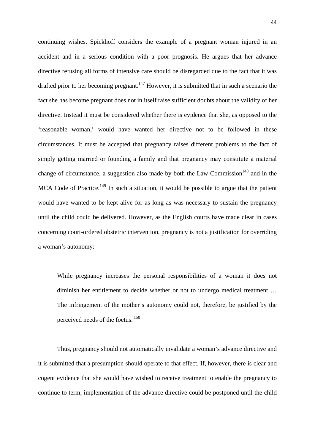continuing wishes. Spickhoff considers the example of a pregnant woman injured in an accident and in a serious condition with a poor prognosis. He argues that her advance directive refusing all forms of intensive care should be disregarded due to the fact that it was drafted prior to her becoming pregnant.<sup>147</sup> However, it is submitted that in such a scenario the fact she has become pregnant does not in itself raise sufficient doubts about the validity of her directive. Instead it must be considered whether there is evidence that she, as opposed to the 'reasonable woman,' would have wanted her directive not to be followed in these circumstances. It must be accepted that pregnancy raises different problems to the fact of simply getting married or founding a family and that pregnancy may constitute a material change of circumstance, a suggestion also made by both the Law Commission<sup>148</sup> and in the MCA Code of Practice.<sup>149</sup> In such a situation, it would be possible to argue that the patient would have wanted to be kept alive for as long as was necessary to sustain the pregnancy until the child could be delivered. However, as the English courts have made clear in cases concerning court-ordered obstetric intervention, pregnancy is not a justification for overriding a woman's autonomy:

While pregnancy increases the personal responsibilities of a woman it does not diminish her entitlement to decide whether or not to undergo medical treatment … The infringement of the mother's autonomy could not, therefore, be justified by the perceived needs of the foetus. 150

Thus, pregnancy should not automatically invalidate a woman's advance directive and it is submitted that a presumption should operate to that effect. If, however, there is clear and cogent evidence that she would have wished to receive treatment to enable the pregnancy to continue to term, implementation of the advance directive could be postponed until the child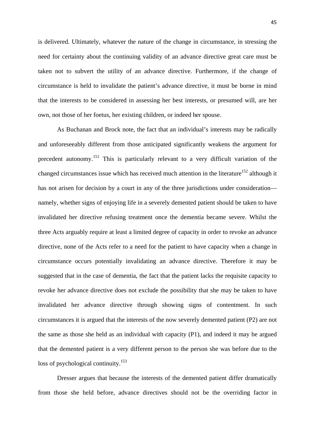is delivered. Ultimately, whatever the nature of the change in circumstance, in stressing the need for certainty about the continuing validity of an advance directive great care must be taken not to subvert the utility of an advance directive. Furthermore, if the change of circumstance is held to invalidate the patient's advance directive, it must be borne in mind that the interests to be considered in assessing her best interests, or presumed will, are her own, not those of her foetus, her existing children, or indeed her spouse.

As Buchanan and Brock note, the fact that an individual's interests may be radically and unforeseeably different from those anticipated significantly weakens the argument for precedent autonomy.151 This is particularly relevant to a very difficult variation of the changed circumstances issue which has received much attention in the literature<sup>152</sup> although it has not arisen for decision by a court in any of the three jurisdictions under consideration namely, whether signs of enjoying life in a severely demented patient should be taken to have invalidated her directive refusing treatment once the dementia became severe. Whilst the three Acts arguably require at least a limited degree of capacity in order to revoke an advance directive, none of the Acts refer to a need for the patient to have capacity when a change in circumstance occurs potentially invalidating an advance directive. Therefore it may be suggested that in the case of dementia, the fact that the patient lacks the requisite capacity to revoke her advance directive does not exclude the possibility that she may be taken to have invalidated her advance directive through showing signs of contentment. In such circumstances it is argued that the interests of the now severely demented patient (P2) are not the same as those she held as an individual with capacity (P1), and indeed it may be argued that the demented patient is a very different person to the person she was before due to the loss of psychological continuity.<sup>153</sup>

Dresser argues that because the interests of the demented patient differ dramatically from those she held before, advance directives should not be the overriding factor in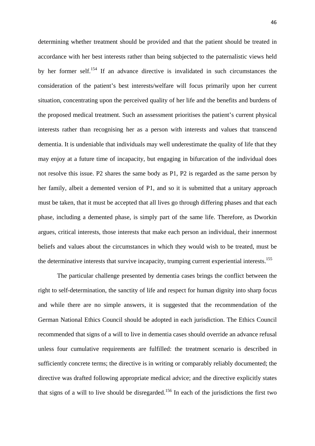determining whether treatment should be provided and that the patient should be treated in accordance with her best interests rather than being subjected to the paternalistic views held by her former self.154 If an advance directive is invalidated in such circumstances the consideration of the patient's best interests/welfare will focus primarily upon her current situation, concentrating upon the perceived quality of her life and the benefits and burdens of the proposed medical treatment. Such an assessment prioritises the patient's current physical interests rather than recognising her as a person with interests and values that transcend dementia. It is undeniable that individuals may well underestimate the quality of life that they may enjoy at a future time of incapacity, but engaging in bifurcation of the individual does not resolve this issue. P2 shares the same body as P1, P2 is regarded as the same person by her family, albeit a demented version of P1, and so it is submitted that a unitary approach must be taken, that it must be accepted that all lives go through differing phases and that each phase, including a demented phase, is simply part of the same life. Therefore, as Dworkin argues, critical interests, those interests that make each person an individual, their innermost beliefs and values about the circumstances in which they would wish to be treated, must be the determinative interests that survive incapacity, trumping current experiential interests.<sup>155</sup>

The particular challenge presented by dementia cases brings the conflict between the right to self-determination, the sanctity of life and respect for human dignity into sharp focus and while there are no simple answers, it is suggested that the recommendation of the German National Ethics Council should be adopted in each jurisdiction. The Ethics Council recommended that signs of a will to live in dementia cases should override an advance refusal unless four cumulative requirements are fulfilled: the treatment scenario is described in sufficiently concrete terms; the directive is in writing or comparably reliably documented; the directive was drafted following appropriate medical advice; and the directive explicitly states that signs of a will to live should be disregarded.<sup>156</sup> In each of the jurisdictions the first two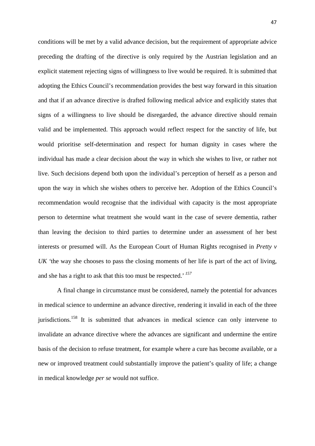conditions will be met by a valid advance decision, but the requirement of appropriate advice preceding the drafting of the directive is only required by the Austrian legislation and an explicit statement rejecting signs of willingness to live would be required. It is submitted that adopting the Ethics Council's recommendation provides the best way forward in this situation and that if an advance directive is drafted following medical advice and explicitly states that signs of a willingness to live should be disregarded, the advance directive should remain valid and be implemented. This approach would reflect respect for the sanctity of life, but would prioritise self-determination and respect for human dignity in cases where the individual has made a clear decision about the way in which she wishes to live, or rather not live. Such decisions depend both upon the individual's perception of herself as a person and upon the way in which she wishes others to perceive her. Adoption of the Ethics Council's recommendation would recognise that the individual with capacity is the most appropriate person to determine what treatment she would want in the case of severe dementia, rather than leaving the decision to third parties to determine under an assessment of her best interests or presumed will. As the European Court of Human Rights recognised in *Pretty v UK '*the way she chooses to pass the closing moments of her life is part of the act of living, and she has a right to ask that this too must be respected.'*<sup>157</sup>*

A final change in circumstance must be considered, namely the potential for advances in medical science to undermine an advance directive, rendering it invalid in each of the three jurisdictions.<sup>158</sup> It is submitted that advances in medical science can only intervene to invalidate an advance directive where the advances are significant and undermine the entire basis of the decision to refuse treatment, for example where a cure has become available, or a new or improved treatment could substantially improve the patient's quality of life; a change in medical knowledge *per se* would not suffice.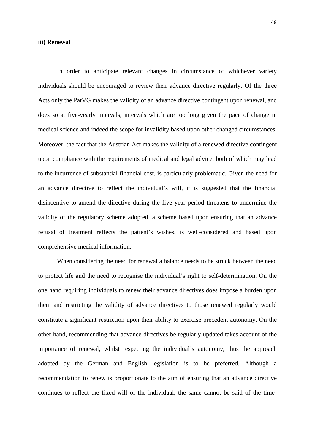#### **iii) Renewal**

In order to anticipate relevant changes in circumstance of whichever variety individuals should be encouraged to review their advance directive regularly. Of the three Acts only the PatVG makes the validity of an advance directive contingent upon renewal, and does so at five-yearly intervals, intervals which are too long given the pace of change in medical science and indeed the scope for invalidity based upon other changed circumstances. Moreover, the fact that the Austrian Act makes the validity of a renewed directive contingent upon compliance with the requirements of medical and legal advice, both of which may lead to the incurrence of substantial financial cost, is particularly problematic. Given the need for an advance directive to reflect the individual's will, it is suggested that the financial disincentive to amend the directive during the five year period threatens to undermine the validity of the regulatory scheme adopted, a scheme based upon ensuring that an advance refusal of treatment reflects the patient's wishes, is well-considered and based upon comprehensive medical information.

When considering the need for renewal a balance needs to be struck between the need to protect life and the need to recognise the individual's right to self-determination. On the one hand requiring individuals to renew their advance directives does impose a burden upon them and restricting the validity of advance directives to those renewed regularly would constitute a significant restriction upon their ability to exercise precedent autonomy. On the other hand, recommending that advance directives be regularly updated takes account of the importance of renewal, whilst respecting the individual's autonomy, thus the approach adopted by the German and English legislation is to be preferred. Although a recommendation to renew is proportionate to the aim of ensuring that an advance directive continues to reflect the fixed will of the individual, the same cannot be said of the time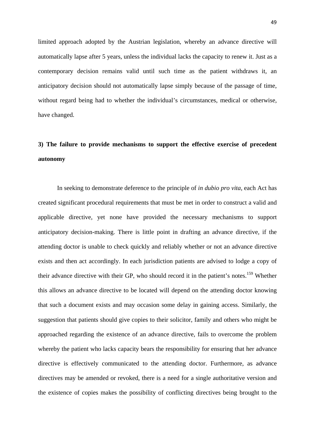limited approach adopted by the Austrian legislation, whereby an advance directive will automatically lapse after 5 years, unless the individual lacks the capacity to renew it. Just as a contemporary decision remains valid until such time as the patient withdraws it, an anticipatory decision should not automatically lapse simply because of the passage of time, without regard being had to whether the individual's circumstances, medical or otherwise, have changed.

# **3) The failure to provide mechanisms to support the effective exercise of precedent autonomy**

In seeking to demonstrate deference to the principle of *in dubio pro vita*, each Act has created significant procedural requirements that must be met in order to construct a valid and applicable directive, yet none have provided the necessary mechanisms to support anticipatory decision-making. There is little point in drafting an advance directive, if the attending doctor is unable to check quickly and reliably whether or not an advance directive exists and then act accordingly. In each jurisdiction patients are advised to lodge a copy of their advance directive with their GP, who should record it in the patient's notes.<sup>159</sup> Whether this allows an advance directive to be located will depend on the attending doctor knowing that such a document exists and may occasion some delay in gaining access. Similarly, the suggestion that patients should give copies to their solicitor, family and others who might be approached regarding the existence of an advance directive, fails to overcome the problem whereby the patient who lacks capacity bears the responsibility for ensuring that her advance directive is effectively communicated to the attending doctor. Furthermore, as advance directives may be amended or revoked, there is a need for a single authoritative version and the existence of copies makes the possibility of conflicting directives being brought to the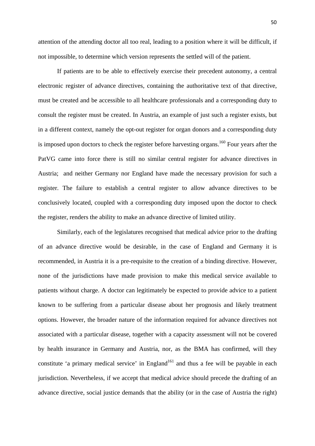attention of the attending doctor all too real, leading to a position where it will be difficult, if not impossible, to determine which version represents the settled will of the patient.

If patients are to be able to effectively exercise their precedent autonomy, a central electronic register of advance directives, containing the authoritative text of that directive, must be created and be accessible to all healthcare professionals and a corresponding duty to consult the register must be created. In Austria, an example of just such a register exists, but in a different context, namely the opt-out register for organ donors and a corresponding duty is imposed upon doctors to check the register before harvesting organs.<sup>160</sup> Four years after the PatVG came into force there is still no similar central register for advance directives in Austria; and neither Germany nor England have made the necessary provision for such a register. The failure to establish a central register to allow advance directives to be conclusively located, coupled with a corresponding duty imposed upon the doctor to check the register, renders the ability to make an advance directive of limited utility.

Similarly, each of the legislatures recognised that medical advice prior to the drafting of an advance directive would be desirable, in the case of England and Germany it is recommended, in Austria it is a pre-requisite to the creation of a binding directive. However, none of the jurisdictions have made provision to make this medical service available to patients without charge. A doctor can legitimately be expected to provide advice to a patient known to be suffering from a particular disease about her prognosis and likely treatment options. However, the broader nature of the information required for advance directives not associated with a particular disease, together with a capacity assessment will not be covered by health insurance in Germany and Austria, nor, as the BMA has confirmed, will they constitute 'a primary medical service' in England<sup>161</sup> and thus a fee will be payable in each jurisdiction. Nevertheless, if we accept that medical advice should precede the drafting of an advance directive, social justice demands that the ability (or in the case of Austria the right)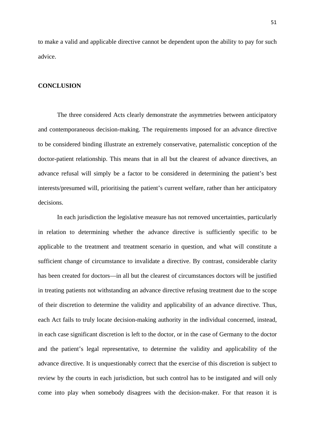to make a valid and applicable directive cannot be dependent upon the ability to pay for such advice.

### **CONCLUSION**

The three considered Acts clearly demonstrate the asymmetries between anticipatory and contemporaneous decision-making. The requirements imposed for an advance directive to be considered binding illustrate an extremely conservative, paternalistic conception of the doctor-patient relationship. This means that in all but the clearest of advance directives, an advance refusal will simply be a factor to be considered in determining the patient's best interests/presumed will, prioritising the patient's current welfare, rather than her anticipatory decisions.

In each jurisdiction the legislative measure has not removed uncertainties, particularly in relation to determining whether the advance directive is sufficiently specific to be applicable to the treatment and treatment scenario in question, and what will constitute a sufficient change of circumstance to invalidate a directive. By contrast, considerable clarity has been created for doctors—in all but the clearest of circumstances doctors will be justified in treating patients not withstanding an advance directive refusing treatment due to the scope of their discretion to determine the validity and applicability of an advance directive. Thus, each Act fails to truly locate decision-making authority in the individual concerned, instead, in each case significant discretion is left to the doctor, or in the case of Germany to the doctor and the patient's legal representative, to determine the validity and applicability of the advance directive. It is unquestionably correct that the exercise of this discretion is subject to review by the courts in each jurisdiction, but such control has to be instigated and will only come into play when somebody disagrees with the decision-maker. For that reason it is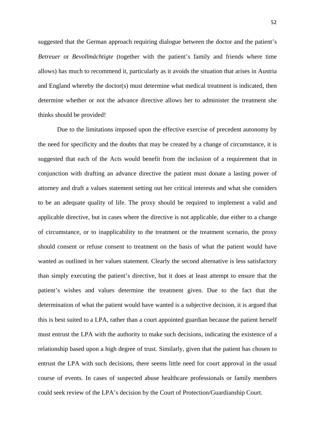suggested that the German approach requiring dialogue between the doctor and the patient's *Betreuer* or *Bevollmächtigte* (together with the patient's family and friends where time allows) has much to recommend it, particularly as it avoids the situation that arises in Austria and England whereby the doctor(s) must determine what medical treatment is indicated, then determine whether or not the advance directive allows her to administer the treatment she thinks should be provided!

Due to the limitations imposed upon the effective exercise of precedent autonomy by the need for specificity and the doubts that may be created by a change of circumstance, it is suggested that each of the Acts would benefit from the inclusion of a requirement that in conjunction with drafting an advance directive the patient must donate a lasting power of attorney and draft a values statement setting out her critical interests and what she considers to be an adequate quality of life. The proxy should be required to implement a valid and applicable directive, but in cases where the directive is not applicable, due either to a change of circumstance, or to inapplicability to the treatment or the treatment scenario, the proxy should consent or refuse consent to treatment on the basis of what the patient would have wanted as outlined in her values statement. Clearly the second alternative is less satisfactory than simply executing the patient's directive, but it does at least attempt to ensure that the patient's wishes and values determine the treatment given. Due to the fact that the determination of what the patient would have wanted is a subjective decision, it is argued that this is best suited to a LPA, rather than a court appointed guardian because the patient herself must entrust the LPA with the authority to make such decisions, indicating the existence of a relationship based upon a high degree of trust. Similarly, given that the patient has chosen to entrust the LPA with such decisions, there seems little need for court approval in the usual course of events. In cases of suspected abuse healthcare professionals or family members could seek review of the LPA's decision by the Court of Protection/Guardianship Court.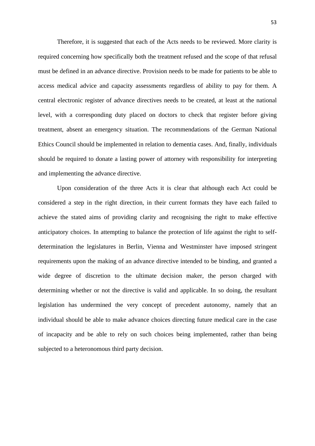Therefore, it is suggested that each of the Acts needs to be reviewed. More clarity is required concerning how specifically both the treatment refused and the scope of that refusal must be defined in an advance directive. Provision needs to be made for patients to be able to access medical advice and capacity assessments regardless of ability to pay for them. A central electronic register of advance directives needs to be created, at least at the national level, with a corresponding duty placed on doctors to check that register before giving treatment, absent an emergency situation. The recommendations of the German National Ethics Council should be implemented in relation to dementia cases. And, finally, individuals should be required to donate a lasting power of attorney with responsibility for interpreting and implementing the advance directive.

Upon consideration of the three Acts it is clear that although each Act could be considered a step in the right direction, in their current formats they have each failed to achieve the stated aims of providing clarity and recognising the right to make effective anticipatory choices. In attempting to balance the protection of life against the right to selfdetermination the legislatures in Berlin, Vienna and Westminster have imposed stringent requirements upon the making of an advance directive intended to be binding, and granted a wide degree of discretion to the ultimate decision maker, the person charged with determining whether or not the directive is valid and applicable. In so doing, the resultant legislation has undermined the very concept of precedent autonomy, namely that an individual should be able to make advance choices directing future medical care in the case of incapacity and be able to rely on such choices being implemented, rather than being subjected to a heteronomous third party decision.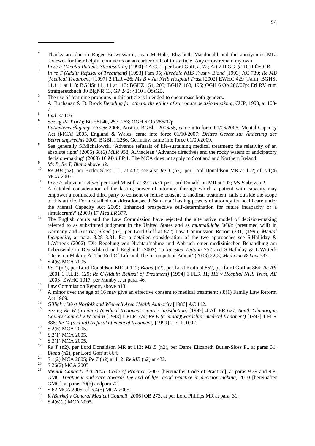- The use of feminine pronouns in this article is intended to encompass both genders.
- 4 A. Buchanan & D. Brock *Deciding for others: the ethics of surrogate decision-making*, CUP, 1990, at 103  $rac{7}{5}$

- See eg  $Re T$  (n2); BGHSt 40, 257, 263; OGH 6 Ob 286/07p
- *Patientenverfügungs-Gesetz* 2006, Austria, BGBl I 2006/55, came into force 01/06/2006; Mental Capacity Act (MCA) 2005, England & Wales, came into force 01/10/2007; *Drittes Gesetz zur Änderung des Betreuungsrechts* 2009, BGBl. I 2286, Germany, came into force 01/09/2009.
- See generally S.Michalowski 'Advance refusals of life-sustaining medical treatment: the relativity of an absolute right' (2005) 68(6) *MLR* 958, A.Maclean 'Advance directives and the rocky waters of anticipatory decision-making' (2008) 16 *Med.LR* 1. The MCA does not apply to Scotland and Northern Ireland.<br><sup>9</sup> *Ms B, Re T, Bland* above n2.
- <sup>10</sup> *Re MB* (n2), per Butler-Sloss L.J., at 432; see also *Re T* (n2), per Lord Donaldson MR at 102; cf. s.1(4) MCA 2005.<br> *In re F*. above n1; *Bland* per Lord Mustill at 891; *Re T* per Lord Donaldson MR at 102; *Ms B* above n2.<br>
<sup>12</sup> A detailed consideration of the lasting power of attorney, through which a patient with capacity
- 
- empower a nominated third party to consent or refuse consent to medical treatment, falls outside the scope of this article. For a detailed consideration,see J. Samanta 'Lasting powers of attorney for healthcare under the Mental Capacity Act 2005: Enhanced prospective self-determination for future incapacity or a
- simulacrum?' (2009) 17 *Med LR* 377.<br><sup>13</sup> The English courts and the Law Commission have rejected the alternative model of decision-making referred to as substituted judgment in the United States and as *mutmaßliche Wille* (presumed will) in Germany and Austria; *Bland* (n2), per Lord Goff at 872; Law Commission Report (231) (1995) *Mental Incapacity*, at para. 3.28–3.31. For a detailed consideration of the two approaches see S.Halliday & L.Witteck (2002) 'Die Regelung von Nichtaufnahme und Abbruch einer medizinischen Behandlung am Lebensende in Deutschland und England' (2002) 15 *Juristen Zeitung* 752 and S.Halliday & L.Witteck 'Decision-Making At The End Of Life and The Incompetent Patient' (2003) 22(3) *Medicine & Law* 533.<br>
S.4(6) MCA 2005<br>
<sup>15</sup> S.A. C.O. 14 S.B. 14 S.B. 14 S.B. 14 S.B. 14 S.B. 14 S.B. 14 S.B. 15 S.B. 15 S.B. 15 S.B. 15 S.B. 1
- 15 *Re T* (n2), per Lord Donaldson MR at 112; *Bland* (n2), per Lord Keith at 857, per Lord Goff at 864; *Re AK*  [2001 1 F.L.R. 129; *Re C (Adult: Refusal of Treatment)* [1994] 1 FLR 31*; HE v Hospital NHS Trust, AE*  [2003] EWHC 1017, per Munby J. at para. 46.<br>
Law Commission Report, above n13.
- 
- A minor over the age of 16 may give an effective consent to medical treatment: s.8(1) Family Law Reform
- Act 1969.<br><sup>18</sup> *Gillick v West Norfolk and Wisbech Area Health Authority* [1986] AC 112.
- 19 See eg *Re W (a minor) (medical treatment: court's jurisdiction)* [1992] 4 All ER 627; *South Glamorgan County Council v W and B* [1993] 1 FLR 574; *Re E (a minor)(wardship: medical treatment)* [1993] 1 FLR 386; *Re M (a child) (refusal of medical treatment)* [1999] 2 FLR 1097.<br>
S.2(5) MCA 2005.<br>
<sup>21</sup> S.2(1) MCA 2005.
- 
- $\frac{21}{22}$  S.2(1) MCA 2005.
- $\frac{22}{23}$  S.3(1) MCA 2005.
- 23 *Re T* (n2), per Lord Donaldson MR at 113; *Ms B* (n2), per Dame Elizabeth Butler-Sloss P., at paras 31;
- *Bland* (n2), per Lord Goff at 864.<br>
24 S.1(2) MCA 2005; *Re T* (n2) at 112; *Re MB* (n2) at 432.<br>
25 S.26(2) MCA 2005.
- 
- 26 *Mental Capacity Act 2005: Code of Practice*, 2007 [hereinafter Code of Practice], at paras 9.39 and 9.8; GMC *Treatment and care towards the end of life: good practice in decision-making*, 2010 [hereinafter
- GMC], at paras 70(b) andpara.72.<br>
27 S.62 MCA 2005; cf. s.4(5) MCA 2005.
- <sup>28</sup> *R (Burke) v General Medical Council* [2006] QB 273, at per Lord Phillips MR at para. 31.
- $S.4(6)$ (a) MCA 2005.

<sup>\*</sup> Thanks are due to Roger Brownsword, Jean McHale, Elizabeth Macdonald and the anonymous MLI reviewer for their helpful comments on an earlier draft of this article. Any errors remain my own.

*In re F (Mental Patient: Sterilisation)* [1990] 2 A.C. 1, per Lord Goff, at 72; Art 2 II GG; §110 II ÖStGB.

*In re T (Adult: Refusal of Treatment)* [1993] Fam 95; *Airedale NHS Trust v Bland* [1993] AC 789; *Re MB (Medical Treatment)* [1997] 2 FLR 426; *Ms B* v *An NHS Hospital Trust* [2002] EWHC 429 (Fam); BGHSt 11,111 at 113; BGHSt 11,111 at 113; BGHZ 154, 205; BGHZ 163, 195; OGH 6 Ob 286/07p; Erl RV zum Strafgesetzbuch 30 BlgNR 13, GP 242; §110 I ÖStGB.

<sup>&</sup>lt;sup>5</sup> *Ibid. at* 106.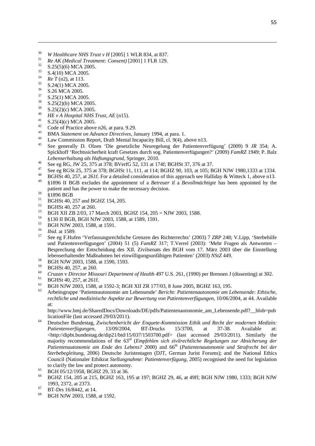- 
- <sup>30</sup>*W Healthcare NHS Trust v H* [2005] 1 WLR 834, at 837.<br> *Re AK (Medical Treatment: Consent)* [2001] 1 FLR 129.<br>
S.25(5)(6) MCA 2005.<br>
<sup>33</sup> S.4(10)<sup>6</sup>
- 
- $\frac{33}{34}$  S.4(10) MCA 2005.

- 
- <sup>34</sup> *Re T* (n2), at 113.<br><sup>35</sup> S.24(1) MCA 2005.
- $\frac{36}{37}$  S.26 MCA 2005.
- $\frac{37}{38}$  S.25(1) MCA 2005.
- $\frac{38}{39}$  S.25(2)(b) MCA 2005.
- $\frac{39}{40}$  S.25(2)(c) MCA 2005.
- 40 *HE v A Hospital NHS Trust, AE* (n15).<br>41 S.25(4)(c) MCA 2005.
- 
- <sup>42</sup> Code of Practice above n26, at para. 9.29.
- 
- <sup>43</sup> BMA *Statement on Advance Directives*, January 1994, at para. 1.<br><sup>44</sup> Law Commission Report, Draft Mental Incapacity Bill, cl. 9(4), above n13.
- 45 See generally D. Olzen 'Die gesetzliche Neuregelung der Patientenverfügung' (2009) 9 *JR* 354; A. Spickhoff 'Rechtssicherheit kraft Gesetzes durch sog. Patientenverfügungen?' (2009) *FamRZ* 1949; P. Balz *Lebenserhaltung als Haftungsgrund*, Springer, 2010.<br>
<sup>46</sup> See eg RG, JW 25, 375 at 378; BVerfG 52, 131 at 174f; BGHSt 37, 376 at 37.
- 
- <sup>47</sup> See eg RGSt 25, 375 at 378; BGHSt 11, 111, at 114; BGHZ 90, 103, at 105; BGH NJW 1980,1333 at 1334.
- <sup>48</sup> BGHSt 40, 257, at 261f. For a detailed consideration of this approach see Halliday & Witteck 1, above n13.
- 49 §1896 II BGB excludes the appointment of a *Betreuer* if a *Bevollmächtigte* has been appointed by the patient and has the power to make the necessary decision.<br>
\$1896 BGB<br>
\$1.0 ©US 40.057 era b DGU3 154.005
- 
- $^{51}$  BGHSt 40, 257 and BGHZ 154, 205.
- $^{52}$  BGHSt 40, 257 at 260.
- 53 BGH XII ZB 2/03, 17 March 2003, BGHZ 154, 205 = NJW 2003, 1588.
- $^{54}$  §130 II BGB, BGH NJW 2003, 1588, at 1589, 1591.
- $^{55}$  BGH NJW 2003, 1588, at 1591.
- 
- <sup>56</sup>*Ibid.* at 1589. 57 See eg F.Hufen 'Verfassungsrechtliche Grenzen des Richterrechts' (2003) 7 *ZRP* 248; V.Lipp, 'Sterbehilfe und Patientenverfügungen' (2004) 51 (5) *FamRZ* 317; T.Verrel (2003): 'Mehr Fragen als Antworten – Besprechung der Entscheidung des XII. Zivilsenats des BGH vom 17. März 2003 über die Einstellung lebenserhaltender Maßnahmen bei einwilligungsunfähigen Patienten' (2003) *NStZ* 449.<br>BGH NJW 2003, 1588, at 1590, 1593.<br>BGH NJW 2003, 1588, at 1590, 1593.
- 
- $^{59}$  BGHSt 40, 257, at 260.
- <sup>60</sup>Cruzan v Director Missouri Department of Health 497 U.S. 261, (1990) per Brennen J (dissenting) at 302.<br>BGHSt 40, 257, at 261f.<br>BGHSt 40, 257, at 261f.
- 
- 62 BGH NJW 2003, 1588, at 1592-3; BGH XII ZR 177/03, 8 June 2005, BGHZ 163, 195.
- 63 Arbeitsgruppe 'Patienteautonomie am Lebensende' *Bericht: Patientenautonomie am Lebensende: Ethische, rechtliche und medizinische Aspekte zur Bewertung von Patientenverfügungen*, 10/06/2004, at 44. Available at:

http://www.bmj.de/SharedDocs/Downloads/DE/pdfs/Patientenautonomie\_am\_Lebensende.pdf?\_\_blob=pub licationFile (last accessed 29/03/2011). 64 Deutscher Bundestag, *Zwischenbericht der Enquete-Kommission Ethik und Recht der modernen Medizin:* 

- *Patientenverfügungen,* 13/09/2004, BT-Drucks 15/3700, at 37-38. Available at: <http://dipbt.bundestag.de/dip21/btd/15/037/1503700.pdf> (last accessed 29/03/2011). Similarly the majority recommendations of the 63rd (*Empfehlen sich zivilrechtliche Regelungen zur Absicherung der*  Patientenautonomie am Ende des Lebens? 2000) and 66<sup>th</sup> (Patientenautonomie und Strafrecht bei der *Sterbebegleitung*, 2006) Deutsche Juristentagen (DJT, German Jurist Forums); and the National Ethics Council (Nationaler Ethikrat *Stellungnahme: Patientenverfügung*, 2005) recognised the need for legislation to clarify the law and protect autonomy.<br>
BGH 05/12/1958, BGHZ 29, 33 at 36.<br>  $\frac{66}{25}$
- 
- 66 BGHZ 154, 205 at 215, BGHZ 163, 195 at 197; BGHZ 29, 46, at 49ff; BGH NJW 1980, 1333; BGH NJW 1993, 2372, at 2373.<br> **BT-Drs** 16/8442, at 14.
- 
- 68 BGH NJW 2003, 1588, at 1592.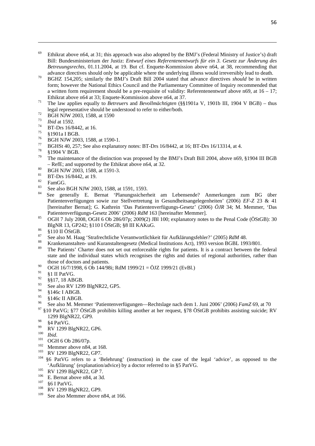- $69$  Ethikrat above n64, at 31; this approach was also adopted by the BMJ's (Federal Ministry of Justice's) draft Bill: Bundesministerium der Justiz: *Entwurf eines Referentenentwurfs für ein 3. Gesetz zur Änderung des Betreuungsrechts*, 01.11.2004, at 19. But cf. Enquete-Kommission above n64, at 38, recommending that
- advance directives should only be applicable where the underlying illness would irreversibly lead to death.<br><sup>70</sup> BGHZ 154,205; similarly the BMJ's Draft Bill 2004 stated that advance directives *should* be in written form; however the National Ethics Council and the Parliamentary Committee of Inquiry recommended that a written form requirement should be a pre-requisite of validity: Referentenentwurf above n69, at  $16 - 17$ ;
- Ethikrat above n64 at 33; Enquete-Kommission above n64, at 37.<br><sup>71</sup> The law applies equally to *Betreuers* and *Bevollmächtigten* (§§1901a V, 1901b III, 1904 V BGB) thus legal representative should be understood to refer to either/both.<br>BGH NJW 2003, 1588, at 1590<br> $\frac{173}{13}$
- 
- 

- <sup>73</sup>*Ibid* at 1592.<br> **BT-Drs** 16/8442, at 16.<br>
<sup>75</sup><sub>81001</sub>, LDCD
- $^{75}$  §1901a I BGB.
- $^{76}$  BGH NJW 2003, 1588, at 1590-1.
- $^{77}$  BGHSt 40, 257; See also explanatory notes: BT-Drs 16/8442, at 16; BT-Drs 16/13314, at 4.
- $^{78}$  §1904 V BGB.
- The maintenance of the distinction was proposed by the BMJ's Draft Bill 2004, above n69, §1904 III BGB – RefE; and supported by the Ethikrat above n64, at 32.<br>BGH NJW 2003, 1588, at 1591-3.<br> $81.87 \text{ F} \cdot \frac{160442}{10^{11}}$ .
- 
- $^{81}_{82}$  BT-Drs 16/8442, at 19.
- $\frac{82}{83}$  FamGG.
- <sup>83</sup> See also BGH NJW 2003, 1588, at 1591, 1593.
- 84 See generally E. Bernat 'Planungssicherheit am Lebensende? Anmerkungen zum BG über Patientenverfügungen sowie zur Stellvertretung in Gesundheitsangelegenheiten' (2006) *EF-Z* 23 & 41 [hereinafter Bernat]; G. Kathrein 'Das Patientenverfügungs-Gesetz' (2006) *ÖJR* 34; M. Memmer, 'Das Patientenverfügungs-Gesetz 2006' (2006) *RdM* 163 [hereinafter Memmer].<br><sup>85</sup> OGH 7 July 2008, OGH 6 Ob 286/07p; 2009(2) JBl 100; explanatory notes to the Penal Code (ÖStGB): 30
- BlgNR 13, GP242; §110 I ÖStGB; §8 III KAKuG.<br><sup>86</sup> §110 II ÖStGB.
- 
- 
- <sup>87</sup> See also M. Haag 'Strafrechtliche Verantwortlichkeit für Aufklärungsfehler?' (2005) *RdM* 48.<br><sup>88</sup> Krankenanstalten- und Kuranstaltengesetz (Medical Institutions Act), 1993 version BGBL 1993/801.
- The Patients' Charter does not set out enforceable rights for patients. It is a contract between the federal state and the individual states which recognises the rights and duties of regional authorities, rather than those of doctors and patients.
- $^{90}$  OGH 16/7/1998, 6 Ob 144/98i; RdM 1999/21 = ÖJZ 1999/21 (EvBl.)
- $^{91}_{92}$  §1 II PatVG.
- $\frac{92}{93}$  §§17, 18 ABGB.
- $^{93}$  See also RV 1299 BlgNR22, GP5.
- $^{94}$  §146c I ABGB.
- $^{95}$  §146c II ABGB.
- 96 See also M. Memmer 'Patientenverfügungen—Rechtslage nach dem 1. Juni 2006' (2006) *FamZ* 69, at 70 97 §10 PatVG; §77 ÖStGB prohibits killing another at her request, §78 ÖStGB prohibits assisting suicide; RV
- 1299 BlgNR22, GP9.
- $^{98}$  §4 PatVG.
- $^{99}_{100}$  RV 1299 BlgNR22, GP6.
- 
- 
- 
- 
- <sup>100</sup>*Ibid.*<br><sup>101</sup> OGH 6 Ob 286/07p.<br><sup>102</sup> Memmer above n84, at 168.<br><sup>103</sup> RV 1299 BlgNR22, GP7.<br><sup>104</sup> §6 PatVG refers to a 'Belehrung' (instruction) in the case of the legal 'advice', as opposed to the 'Aufklärung' (explanation/advice) by a doctor referred to in §5 PatVG.<br>
<sup>105</sup> RV 1299 BlgNR22, GP 7.<br>
<sup>106</sup> E. Bernat above n84, at 3d.<br>
<sup>107</sup> §6 I PatVG.<br>
<sup>108</sup> RV 1299 BlgNR22, GP9.<br>
<sup>109</sup> §69 also Mammar above n<sup>84</sup> at
- 
- 
- 
- 
- See also Memmer above n84, at 166.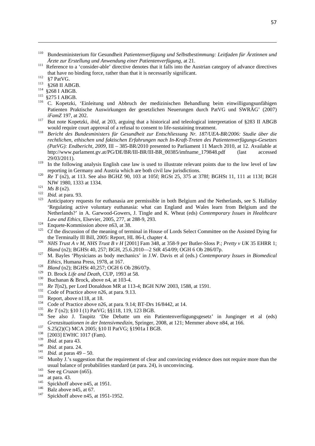- 110 Bundesministerium für Gesundheit *Patientenverfügung und Selbstbestimmung: Leitfaden für Ärztinnen und Ärzte zur Erstellung und Anwendung einer Patientenverfügung, at 21.* 111 Reference to a 'consider-able' directive denotes that it falls into the Austrian category of advance directives
- that have no binding force, rather than that it is necessarily significant.<br>
<sup>112</sup> §7 PatVG.<br>
<sup>113</sup> §268 I ABGB.<br>
<sup>114</sup> §268 I ABGB.<br>
<sup>114</sup> §275 I ABGB.<br>
<sup>116</sup> C. Kopetzki, 'Einleitung und Abbruch der medizinischen Behandl
- 

- 
- 
- 
- Patienten Praktische Auswirkungen der gesetzlichen Neuerungen durch PatVG und SWRÄG' (2007) *iFamZ* 197, at 202.<br><sup>117</sup> But note Kopetzki, *ibid*, at 203, arguing that a historical and teleological interpretation of §283 II ABGB
- would require court approval of a refusal to consent to life-sustaining treatment. 118 *Bericht des Bundesministers für Gesundheit zur Entschliessung Nr. 187/UEA-BR/2006: Studie über die*
- *rechtlichen, ethischen und faktischen Erfahrungen nach In-Kraft-Treten des Patientenverfügungs-Gesetzes (PatVG): Endbericht, 2009*, III – 385-BR/2010 presented to Parliament 11 March 2010, at 12. Available at http://www.parlament.gv.at/PG/DE/BR/III-BR/III-BR\_00385/imfname\_179848.pdf (last accessed 29/03/2011).
- <sup>119</sup> In the following analysis English case law is used to illustrate relevant points due to the low level of law reporting in Germany and Austria which are both civil law jurisdictions. 120 *Re T* (n2), at 113. See also BGHZ 90, 103 at 105f; RGSt 25, 375 at 378f; BGHSt 11, 111 at 113f; BGH
- NJW 1980, 1333 at 1334.<br>
121 *Ms B* (n2).<br>
122 *Ibid.* at para. 93.<br>
123 Anticipatory requests for euthanasia are permissible in both Belgium and the Netherlands, see S. Halliday
- 
- 
- 'Regulating active voluntary euthanasia: what can England and Wales learn from Belgium and the Netherlands?' in A. Garwood-Gowers, J. Tingle and K. Wheat (eds) *Contemporary Issues in Healthcare Law and Ethics*, Elsevier, 2005, 277, at 288-9, 293.<br><sup>124</sup> Enquete-Kommission above n63, at 38.<br><sup>125</sup> Cf the discussion of the meaning of terminal in House of Lords Select Committee on the Assisted Dying for
- 
- the Terminally Ill Bill, 2005: Report, HL 86-I, chapter 4.<br><sup>126</sup> *NHS Trust A v M, NHS Trust B v H* [2001] Fam 348, at 358-9 per Butler-Sloss P.; *Pretty v UK* 35 EHRR 1;
- *Bland* (n2); BGHSt 40, 257; BGH, 25.6.2010—2 StR 454/09; OGH 6 Ob 286/07p.<br><sup>127</sup> M. Bayles 'Physicians as body mechanics' in J.W. Davis et al (eds.) *Contemporary Issues in Biomedical*
- 
- *Ethics*, Humana Press, 1978, at 167.<br><sup>128</sup> *Bland* (n2); BGHSt 40,257; OGH 6 Ob 286/07p.
- 
- 
- 
- 
- 
- 
- 
- <sup>129</sup> D. Brock *Life and Death*, CUP, 1993 at 58.<br>
<sup>130</sup> Buchanan & Brock, above n4, at 103-4.<br>
<sup>131</sup> Re  $T(n2)$ , per Lord Donaldson MR at 113-4; BGH NJW 2003, 1588, at 1591.<br>
<sup>132</sup> Code of Practice above n26, at para. 9.1 *Grenzsituationen in der Intensivmedizin, Springer, 2008, at 121; Memmer above n84, at 166.* 137 S.25(2)(C) MCA 2005; §10 II PatVG; §1901a I BGB. [2003] EWHC 1017 (Fam). 138 [2003] EWHC 1017 (Fam).
- 
- 
- 
- 
- 
- <sup>139</sup>*Ibid.* at para 43.<br>
<sup>140</sup>*Ibid.* at para. 24.<br>
<sup>141</sup>*Ibid.* at paras 49 50.<br>
<sup>142</sup> Munby J.'s suggestion that the requirement of clear and convincing evidence does not require more than the usual balance of probabilities standard (at para. 24), is unconvincing.<br>
<sup>143</sup> See eg *Cruzan* (n65).<br>
<sup>144</sup> at para. 43.<br>
<sup>145</sup> Spickhoff above n45, at 1951.<br>
<sup>146</sup> Balz above n45, at 67.<br>
<sup>147</sup> Spickhoff above n45, at 19
- 
- 
- 
- 
-